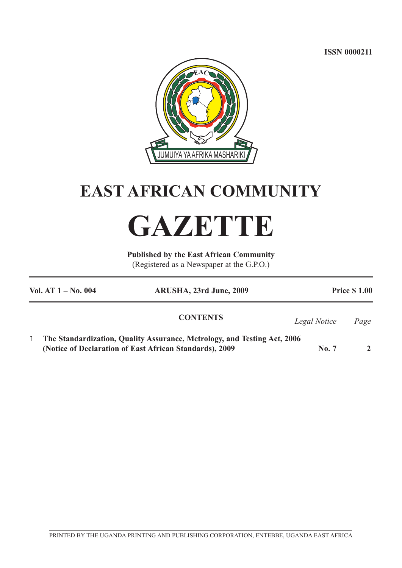**ISSN 0000211**



## **EAST AFRICAN COMMUNITY**

# **GAZETTE**

**Published by the East African Community** (Registered as a Newspaper at the G.P.O.)

| Vol. AT $1 - No. 004$                                   | ARUSHA, 23rd June, 2009                                                  |                      | <b>Price \$1.00</b> |
|---------------------------------------------------------|--------------------------------------------------------------------------|----------------------|---------------------|
|                                                         | <b>CONTENTS</b>                                                          | Legal Notice<br>Page |                     |
| (Notice of Declaration of East African Standards), 2009 | The Standardization, Quality Assurance, Metrology, and Testing Act, 2006 | $\bf{No.} 7$         |                     |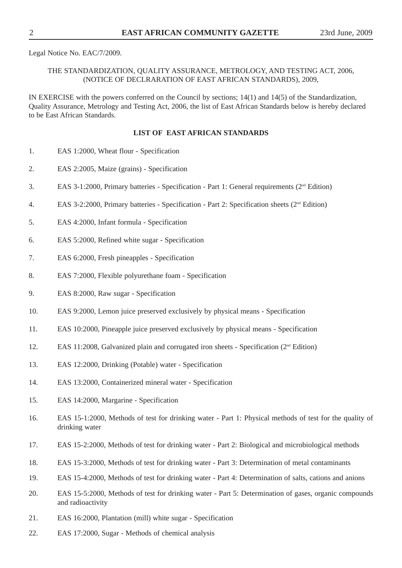Legal Notice No. EAC/7/2009.

## THE STANDARDIZATION, QUALITY ASSURANCE, METROLOGY, AND TESTING ACT, 2006, (NOTICE OF DECLRARATION OF EAST AFRICAN STANDARDS), 2009,

IN EXERCISE with the powers conferred on the Council by sections; 14(1) and 14(5) of the Standardization, Quality Assurance, Metrology and Testing Act, 2006, the list of East African Standards below is hereby declared to be East African Standards.

## **LIST OF EAST AFRICAN STANDARDS**

- 1. EAS 1:2000, Wheat flour Specification
- 2. EAS 2:2005, Maize (grains) Specification
- 3. EAS 3-1:2000, Primary batteries Specification Part 1: General requirements ( $2<sup>nd</sup> Edition$ )
- 4. EAS 3-2:2000, Primary batteries Specification Part 2: Specification sheets ( $2<sup>nd</sup>$  Edition)
- 5. EAS 4:2000, Infant formula Specification
- 6. EAS 5:2000, Refined white sugar Specification
- 7. EAS 6:2000, Fresh pineapples Specification
- 8. EAS 7:2000, Flexible polyurethane foam Specification
- 9. EAS 8:2000, Raw sugar Specification
- 10. EAS 9:2000, Lemon juice preserved exclusively by physical means Specification
- 11. EAS 10:2000, Pineapple juice preserved exclusively by physical means Specification
- 12. EAS 11:2008, Galvanized plain and corrugated iron sheets Specification  $(2<sup>nd</sup> Edition)$
- 13. EAS 12:2000, Drinking (Potable) water Specification
- 14. EAS 13:2000, Containerized mineral water Specification
- 15. EAS 14:2000, Margarine Specification
- 16. EAS 15-1:2000, Methods of test for drinking water Part 1: Physical methods of test for the quality of drinking water
- 17. EAS 15-2:2000, Methods of test for drinking water Part 2: Biological and microbiological methods
- 18. EAS 15-3:2000, Methods of test for drinking water Part 3: Determination of metal contaminants
- 19. EAS 15-4:2000, Methods of test for drinking water Part 4: Determination of salts, cations and anions
- 20. EAS 15-5:2000, Methods of test for drinking water Part 5: Determination of gases, organic compounds and radioactivity
- 21. EAS 16:2000, Plantation (mill) white sugar Specification
- 22. EAS 17:2000, Sugar Methods of chemical analysis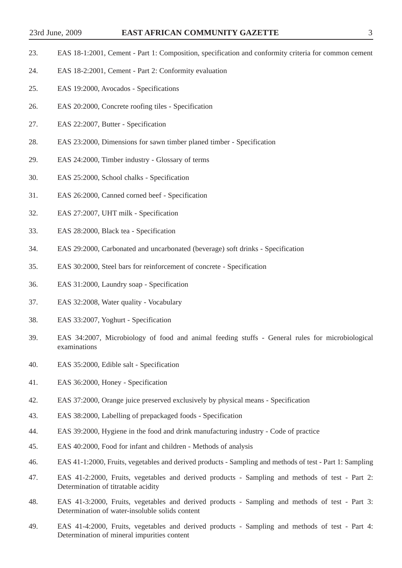- 23. EAS 18-1:2001, Cement Part 1: Composition, specification and conformity criteria for common cement
- 24. EAS 18-2:2001, Cement Part 2: Conformity evaluation
- 25. EAS 19:2000, Avocados Specifications
- 26. EAS 20:2000, Concrete roofing tiles Specification
- 27. EAS 22:2007, Butter Specification
- 28. EAS 23:2000, Dimensions for sawn timber planed timber Specification
- 29. EAS 24:2000, Timber industry Glossary of terms
- 30. EAS 25:2000, School chalks Specification
- 31. EAS 26:2000, Canned corned beef Specification
- 32. EAS 27:2007, UHT milk Specification
- 33. EAS 28:2000, Black tea Specification
- 34. EAS 29:2000, Carbonated and uncarbonated (beverage) soft drinks Specification
- 35. EAS 30:2000, Steel bars for reinforcement of concrete Specification
- 36. EAS 31:2000, Laundry soap Specification
- 37. EAS 32:2008, Water quality Vocabulary
- 38. EAS 33:2007, Yoghurt Specification
- 39. EAS 34:2007, Microbiology of food and animal feeding stuffs General rules for microbiological examinations
- 40. EAS 35:2000, Edible salt Specification
- 41. EAS 36:2000, Honey Specification
- 42. EAS 37:2000, Orange juice preserved exclusively by physical means Specification
- 43. EAS 38:2000, Labelling of prepackaged foods Specification
- 44. EAS 39:2000, Hygiene in the food and drink manufacturing industry Code of practice
- 45. EAS 40:2000, Food for infant and children Methods of analysis
- 46. EAS 41-1:2000, Fruits, vegetables and derived products Sampling and methods of test Part 1: Sampling
- 47. EAS 41-2:2000, Fruits, vegetables and derived products Sampling and methods of test Part 2: Determination of titratable acidity
- 48. EAS 41-3:2000, Fruits, vegetables and derived products Sampling and methods of test Part 3: Determination of water-insoluble solids content
- 49. EAS 41-4:2000, Fruits, vegetables and derived products Sampling and methods of test Part 4: Determination of mineral impurities content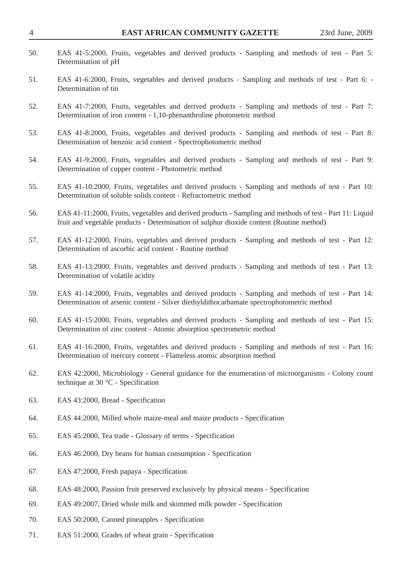| 50. | EAS 41-5:2000, Fruits, vegetables and derived products - Sampling and methods of test - Part 5:<br>Determination of pH                                                                               |
|-----|------------------------------------------------------------------------------------------------------------------------------------------------------------------------------------------------------|
| 51. | EAS 41-6:2000, Fruits, vegetables and derived products - Sampling and methods of test - Part 6: -<br>Determination of tin                                                                            |
| 52. | EAS 41-7:2000, Fruits, vegetables and derived products - Sampling and methods of test - Part 7:<br>Determination of iron content - 1,10-phenanthroline photometric method                            |
| 53. | EAS 41-8:2000, Fruits, vegetables and derived products - Sampling and methods of test - Part 8:<br>Determination of benzoic acid content - Spectrophotometric method                                 |
| 54. | EAS 41-9:2000, Fruits, vegetables and derived products - Sampling and methods of test - Part 9:<br>Determination of copper content - Photometric method                                              |
| 55. | EAS 41-10:2000, Fruits, vegetables and derived products - Sampling and methods of test - Part 10:<br>Determination of soluble solids content - Refractometric method                                 |
| 56. | EAS 41-11:2000, Fruits, vegetables and derived products - Sampling and methods of test - Part 11: Liquid<br>fruit and vegetable products - Determination of sulphur dioxide content (Routine method) |
| 57. | EAS 41-12:2000, Fruits, vegetables and derived products - Sampling and methods of test - Part 12:<br>Determination of ascorbic acid content - Routine method                                         |
| 58. | EAS 41-13:2000, Fruits, vegetables and derived products - Sampling and methods of test - Part 13:<br>Determination of volatile acidity                                                               |
| 59. | EAS 41-14:2000, Fruits, vegetables and derived products - Sampling and methods of test - Part 14:<br>Determination of arsenic content - Silver diethyldithocarbamate spectrophotometric method       |
| 60. | EAS 41-15:2000, Fruits, vegetables and derived products - Sampling and methods of test - Part 15:<br>Determination of zinc content - Atomic absorption spectrometric method                          |
| 61. | EAS 41-16:2000, Fruits, vegetables and derived products - Sampling and methods of test - Part 16:<br>Determination of mercury content - Flameless atomic absorption method                           |
| 62. | EAS 42:2000, Microbiology - General guidance for the enumeration of microorganisms - Colony count<br>technique at $30^{\circ}$ C - Specification                                                     |
| 63. | EAS 43:2000, Bread - Specification                                                                                                                                                                   |
| 64. | EAS 44:2000, Milled whole maize-meal and maize products - Specification                                                                                                                              |
| 65. | EAS 45:2000, Tea trade - Glossary of terms - Specification                                                                                                                                           |
| 66. | EAS 46:2000, Dry beans for human consumption - Specification                                                                                                                                         |
| 67. | EAS 47:2000, Fresh papaya - Specification                                                                                                                                                            |
| 68. | EAS 48:2000, Passion fruit preserved exclusively by physical means - Specification                                                                                                                   |
| 69. | EAS 49:2007, Dried whole milk and skimmed milk powder - Specification                                                                                                                                |
| 70. | EAS 50:2000, Canned pineapples - Specification                                                                                                                                                       |
| 71. | EAS 51:2000, Grades of wheat grain - Specification                                                                                                                                                   |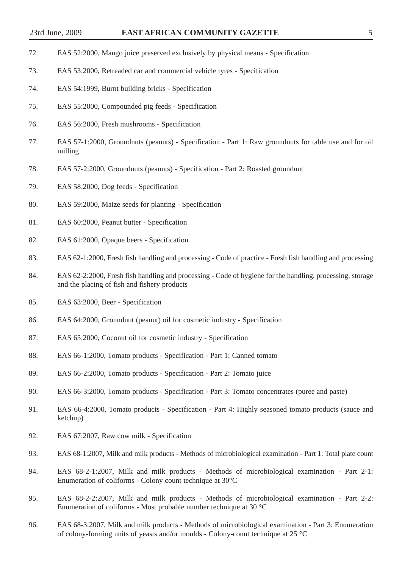- 72. EAS 52:2000, Mango juice preserved exclusively by physical means Specification
- 73. EAS 53:2000, Retreaded car and commercial vehicle tyres Specification
- 74. EAS 54:1999, Burnt building bricks Specification
- 75. EAS 55:2000, Compounded pig feeds Specification
- 76. EAS 56:2000, Fresh mushrooms Specification
- 77. EAS 57-1:2000, Groundnuts (peanuts) Specification Part 1: Raw groundnuts for table use and for oil milling
- 78. EAS 57-2:2000, Groundnuts (peanuts) Specification Part 2: Roasted groundnut
- 79. EAS 58:2000, Dog feeds Specification
- 80. EAS 59:2000, Maize seeds for planting Specification
- 81. EAS 60:2000, Peanut butter Specification
- 82. EAS 61:2000, Opaque beers Specification
- 83. EAS 62-1:2000, Fresh fish handling and processing Code of practice Fresh fish handling and processing
- 84. EAS 62-2:2000, Fresh fish handling and processing Code of hygiene for the handling, processing, storage and the placing of fish and fishery products
- 85. EAS 63:2000, Beer Specification
- 86. EAS 64:2000, Groundnut (peanut) oil for cosmetic industry Specification
- 87. EAS 65:2000, Coconut oil for cosmetic industry Specification
- 88. EAS 66-1:2000, Tomato products Specification Part 1: Canned tomato
- 89. EAS 66-2:2000, Tomato products Specification Part 2: Tomato juice
- 90. EAS 66-3:2000, Tomato products Specification Part 3: Tomato concentrates (puree and paste)
- 91. EAS 66-4:2000, Tomato products Specification Part 4: Highly seasoned tomato products (sauce and ketchup)
- 92. EAS 67:2007, Raw cow milk Specification
- 93. EAS 68-1:2007, Milk and milk products Methods of microbiological examination Part 1: Total plate count
- 94. EAS 68-2-1:2007, Milk and milk products Methods of microbiological examination Part 2-1: Enumeration of coliforms - Colony count technique at 30°C
- 95. EAS 68-2-2:2007, Milk and milk products Methods of microbiological examination Part 2-2: Enumeration of coliforms - Most probable number technique at 30 °C
- 96. EAS 68-3:2007, Milk and milk products Methods of microbiological examination Part 3: Enumeration of colony-forming units of yeasts and/or moulds - Colony-count technique at 25 °C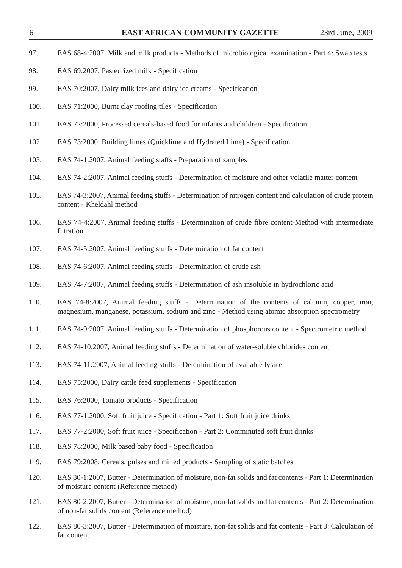- 97. EAS 68-4:2007, Milk and milk products Methods of microbiological examination Part 4: Swab tests
- 98. EAS 69:2007, Pasteurized milk Specification
- 99. EAS 70:2007, Dairy milk ices and dairy ice creams Specification
- 100. EAS 71:2000, Burnt clay roofing tiles Specification
- 101. EAS 72:2000, Processed cereals-based food for infants and children Specification
- 102. EAS 73:2000, Building limes (Quicklime and Hydrated Lime) Specification
- 103. EAS 74-1:2007, Animal feeding staffs Preparation of samples
- 104. EAS 74-2:2007, Animal feeding stuffs Determination of moisture and other volatile matter content
- 105. EAS 74-3:2007, Animal feeding stuffs Determination of nitrogen content and calculation of crude protein content - Kheldahl method
- 106. EAS 74-4:2007, Animal feeding stuffs Determination of crude fibre content-Method with intermediate filtration
- 107. EAS 74-5:2007, Animal feeding stuffs Determination of fat content
- 108. EAS 74-6:2007, Animal feeding stuffs Determination of crude ash
- 109. EAS 74-7:2007, Animal feeding stuffs Determination of ash insoluble in hydrochloric acid
- 110. EAS 74-8:2007, Animal feeding stuffs Determination of the contents of calcium, copper, iron, magnesium, manganese, potassium, sodium and zinc - Method using atomic absorption spectrometry
- 111. EAS 74-9:2007, Animal feeding stuffs Determination of phosphorous content Spectrometric method
- 112. EAS 74-10:2007, Animal feeding stuffs Determination of water-soluble chlorides content
- 113. EAS 74-11:2007, Animal feeding stuffs Determination of available lysine
- 114. EAS 75:2000, Dairy cattle feed supplements Specification
- 115. EAS 76:2000, Tomato products Specification
- 116. EAS 77-1:2000, Soft fruit juice Specification Part 1: Soft fruit juice drinks
- 117. EAS 77-2:2000, Soft fruit juice Specification Part 2: Comminuted soft fruit drinks
- 118. EAS 78:2000, Milk based baby food Specification
- 119. EAS 79:2008, Cereals, pulses and milled products Sampling of static batches
- 120. EAS 80-1:2007, Butter Determination of moisture, non-fat solids and fat contents Part 1: Determination of moisture content (Reference method)
- 121. EAS 80-2:2007, Butter Determination of moisture, non-fat solids and fat contents Part 2: Determination of non-fat solids content (Reference method)
- 122. EAS 80-3:2007, Butter Determination of moisture, non-fat solids and fat contents Part 3: Calculation of fat content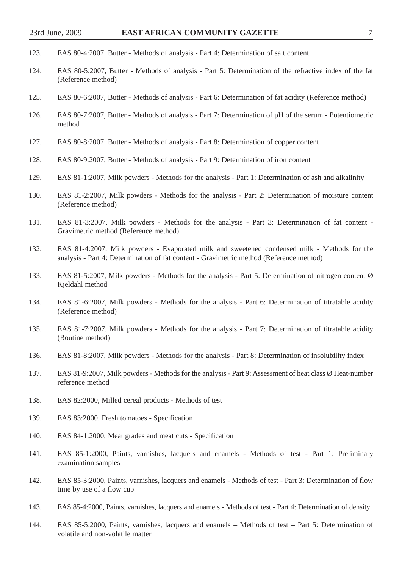- 123. EAS 80-4:2007, Butter Methods of analysis Part 4: Determination of salt content
- 124. EAS 80-5:2007, Butter Methods of analysis Part 5: Determination of the refractive index of the fat (Reference method)
- 125. EAS 80-6:2007, Butter Methods of analysis Part 6: Determination of fat acidity (Reference method)
- 126. EAS 80-7:2007, Butter Methods of analysis Part 7: Determination of pH of the serum Potentiometric method
- 127. EAS 80-8:2007, Butter Methods of analysis Part 8: Determination of copper content
- 128. EAS 80-9:2007, Butter Methods of analysis Part 9: Determination of iron content
- 129. EAS 81-1:2007, Milk powders Methods for the analysis Part 1: Determination of ash and alkalinity
- 130. EAS 81-2:2007, Milk powders Methods for the analysis Part 2: Determination of moisture content (Reference method)
- 131. EAS 81-3:2007, Milk powders Methods for the analysis Part 3: Determination of fat content Gravimetric method (Reference method)
- 132. EAS 81-4:2007, Milk powders Evaporated milk and sweetened condensed milk Methods for the analysis - Part 4: Determination of fat content - Gravimetric method (Reference method)
- 133. EAS 81-5:2007, Milk powders Methods for the analysis Part 5: Determination of nitrogen content Ø Kjeldahl method
- 134. EAS 81-6:2007, Milk powders Methods for the analysis Part 6: Determination of titratable acidity (Reference method)
- 135. EAS 81-7:2007, Milk powders Methods for the analysis Part 7: Determination of titratable acidity (Routine method)
- 136. EAS 81-8:2007, Milk powders Methods for the analysis Part 8: Determination of insolubility index
- 137. EAS 81-9:2007, Milk powders Methods for the analysis Part 9: Assessment of heat class Ø Heat-number reference method
- 138. EAS 82:2000, Milled cereal products Methods of test
- 139. EAS 83:2000, Fresh tomatoes Specification
- 140. EAS 84-1:2000, Meat grades and meat cuts Specification
- 141. EAS 85-1:2000, Paints, varnishes, lacquers and enamels Methods of test Part 1: Preliminary examination samples
- 142. EAS 85-3:2000, Paints, varnishes, lacquers and enamels Methods of test Part 3: Determination of flow time by use of a flow cup
- 143. EAS 85-4:2000, Paints, varnishes, lacquers and enamels Methods of test Part 4: Determination of density
- 144. EAS 85-5:2000, Paints, varnishes, lacquers and enamels Methods of test Part 5: Determination of volatile and non-volatile matter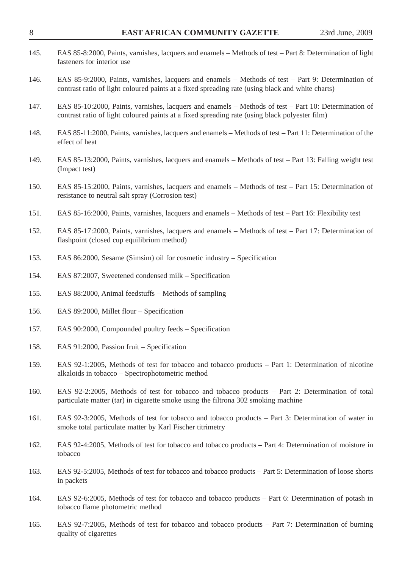| 145. | EAS 85-8:2000, Paints, varnishes, lacquers and enamels – Methods of test – Part 8: Determination of light<br>fasteners for interior use                                                                 |
|------|---------------------------------------------------------------------------------------------------------------------------------------------------------------------------------------------------------|
| 146. | EAS 85-9:2000, Paints, varnishes, lacquers and enamels – Methods of test – Part 9: Determination of<br>contrast ratio of light coloured paints at a fixed spreading rate (using black and white charts) |
| 147. | EAS 85-10:2000, Paints, varnishes, lacquers and enamels – Methods of test – Part 10: Determination of<br>contrast ratio of light coloured paints at a fixed spreading rate (using black polyester film) |
| 148. | EAS 85-11:2000, Paints, varnishes, lacquers and enamels – Methods of test – Part 11: Determination of the<br>effect of heat                                                                             |
| 149. | EAS 85-13:2000, Paints, varnishes, lacquers and enamels – Methods of test – Part 13: Falling weight test<br>(Impact test)                                                                               |
| 150. | EAS 85-15:2000, Paints, varnishes, lacquers and enamels – Methods of test – Part 15: Determination of<br>resistance to neutral salt spray (Corrosion test)                                              |
| 151. | EAS 85-16:2000, Paints, varnishes, lacquers and enamels – Methods of test – Part 16: Flexibility test                                                                                                   |
| 152. | EAS 85-17:2000, Paints, varnishes, lacquers and enamels – Methods of test – Part 17: Determination of<br>flashpoint (closed cup equilibrium method)                                                     |
| 153. | EAS 86:2000, Sesame (Simsim) oil for cosmetic industry – Specification                                                                                                                                  |
| 154. | EAS 87:2007, Sweetened condensed milk – Specification                                                                                                                                                   |
| 155. | EAS 88:2000, Animal feedstuffs – Methods of sampling                                                                                                                                                    |
| 156. | EAS 89:2000, Millet flour - Specification                                                                                                                                                               |
| 157. | EAS 90:2000, Compounded poultry feeds – Specification                                                                                                                                                   |
| 158. | EAS 91:2000, Passion fruit - Specification                                                                                                                                                              |
| 159. | EAS 92-1:2005, Methods of test for tobacco and tobacco products – Part 1: Determination of nicotine<br>alkaloids in tobacco - Spectrophotometric method                                                 |
| 160. | EAS 92-2:2005, Methods of test for tobacco and tobacco products – Part 2: Determination of total<br>particulate matter (tar) in cigarette smoke using the filtrona 302 smoking machine                  |
| 161. | EAS 92-3:2005, Methods of test for tobacco and tobacco products – Part 3: Determination of water in<br>smoke total particulate matter by Karl Fischer titrimetry                                        |
| 162. | EAS 92-4:2005, Methods of test for tobacco and tobacco products – Part 4: Determination of moisture in<br>tobacco                                                                                       |
| 163. | EAS 92-5:2005, Methods of test for tobacco and tobacco products – Part 5: Determination of loose shorts<br>in packets                                                                                   |
| 164. | EAS 92-6:2005, Methods of test for tobacco and tobacco products – Part 6: Determination of potash in<br>tobacco flame photometric method                                                                |

165. EAS 92-7:2005, Methods of test for tobacco and tobacco products – Part 7: Determination of burning quality of cigarettes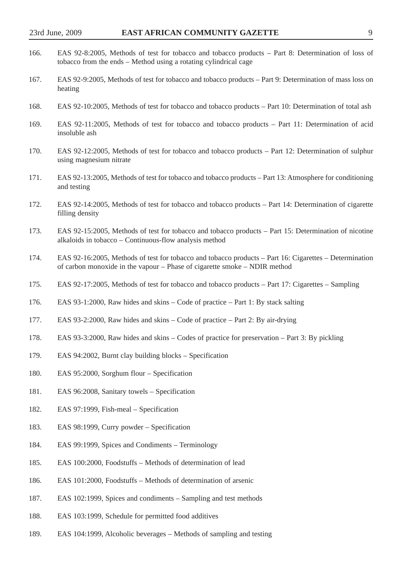| ۰.     |
|--------|
| ٠<br>╯ |
|        |

| 166. | EAS 92-8:2005, Methods of test for tobacco and tobacco products – Part 8: Determination of loss of<br>tobacco from the ends – Method using a rotating cylindrical cage              |
|------|-------------------------------------------------------------------------------------------------------------------------------------------------------------------------------------|
| 167. | EAS 92-9:2005, Methods of test for tobacco and tobacco products – Part 9: Determination of mass loss on<br>heating                                                                  |
| 168. | EAS 92-10:2005, Methods of test for tobacco and tobacco products – Part 10: Determination of total ash                                                                              |
| 169. | EAS 92-11:2005, Methods of test for tobacco and tobacco products – Part 11: Determination of acid<br>insoluble ash                                                                  |
| 170. | EAS 92-12:2005, Methods of test for tobacco and tobacco products – Part 12: Determination of sulphur<br>using magnesium nitrate                                                     |
| 171. | EAS 92-13:2005, Methods of test for tobacco and tobacco products – Part 13: Atmosphere for conditioning<br>and testing                                                              |
| 172. | EAS 92-14:2005, Methods of test for tobacco and tobacco products – Part 14: Determination of cigarette<br>filling density                                                           |
| 173. | EAS 92-15:2005, Methods of test for tobacco and tobacco products – Part 15: Determination of nicotine<br>alkaloids in tobacco – Continuous-flow analysis method                     |
| 174. | EAS 92-16:2005, Methods of test for tobacco and tobacco products – Part 16: Cigarettes – Determination<br>of carbon monoxide in the vapour – Phase of cigarette smoke – NDIR method |
| 175. | EAS 92-17:2005, Methods of test for tobacco and tobacco products – Part 17: Cigarettes – Sampling                                                                                   |
| 176. | EAS 93-1:2000, Raw hides and skins – Code of practice – Part 1: By stack salting                                                                                                    |
| 177. | EAS 93-2:2000, Raw hides and skins – Code of practice – Part 2: By air-drying                                                                                                       |
| 178. | EAS 93-3:2000, Raw hides and skins – Codes of practice for preservation – Part 3: By pickling                                                                                       |
| 179. | EAS 94:2002, Burnt clay building blocks – Specification                                                                                                                             |
| 180. | EAS 95:2000, Sorghum flour - Specification                                                                                                                                          |
| 181. | EAS 96:2008, Sanitary towels - Specification                                                                                                                                        |
| 182. | EAS 97:1999, Fish-meal – Specification                                                                                                                                              |
| 183. | EAS 98:1999, Curry powder – Specification                                                                                                                                           |
| 184. | EAS 99:1999, Spices and Condiments - Terminology                                                                                                                                    |
| 185. | EAS 100:2000, Foodstuffs - Methods of determination of lead                                                                                                                         |
| 186. | EAS 101:2000, Foodstuffs - Methods of determination of arsenic                                                                                                                      |
| 187. | EAS 102:1999, Spices and condiments – Sampling and test methods                                                                                                                     |
| 188. | EAS 103:1999, Schedule for permitted food additives                                                                                                                                 |

189. EAS 104:1999, Alcoholic beverages – Methods of sampling and testing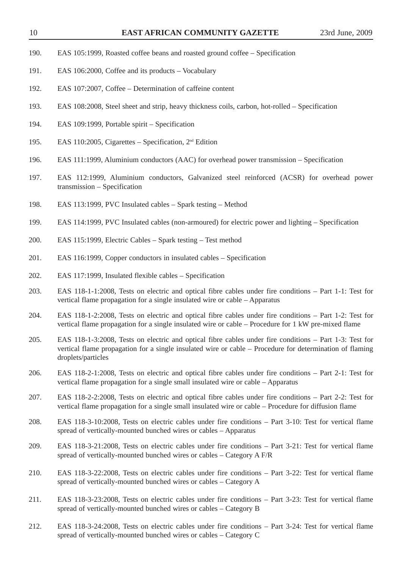- 190. EAS 105:1999, Roasted coffee beans and roasted ground coffee Specification
- 191. EAS 106:2000, Coffee and its products Vocabulary
- 192. EAS 107:2007, Coffee Determination of caffeine content
- 193. EAS 108:2008, Steel sheet and strip, heavy thickness coils, carbon, hot-rolled Specification
- 194. EAS 109:1999, Portable spirit Specification
- 195. EAS 110:2005, Cigarettes Specification, 2nd Edition
- 196. EAS 111:1999, Aluminium conductors (AAC) for overhead power transmission Specification
- 197. EAS 112:1999, Aluminium conductors, Galvanized steel reinforced (ACSR) for overhead power transmission – Specification
- 198. EAS 113:1999, PVC Insulated cables Spark testing Method
- 199. EAS 114:1999, PVC Insulated cables (non-armoured) for electric power and lighting Specification
- 200. EAS 115:1999, Electric Cables Spark testing Test method
- 201. EAS 116:1999, Copper conductors in insulated cables Specification
- 202. EAS 117:1999, Insulated flexible cables Specification
- 203. EAS 118-1-1:2008, Tests on electric and optical fibre cables under fire conditions Part 1-1: Test for vertical flame propagation for a single insulated wire or cable – Apparatus
- 204. EAS 118-1-2:2008, Tests on electric and optical fibre cables under fire conditions Part 1-2: Test for vertical flame propagation for a single insulated wire or cable – Procedure for 1 kW pre-mixed flame
- 205. EAS 118-1-3:2008, Tests on electric and optical fibre cables under fire conditions Part 1-3: Test for vertical flame propagation for a single insulated wire or cable – Procedure for determination of flaming droplets/particles
- 206. EAS 118-2-1:2008, Tests on electric and optical fibre cables under fire conditions Part 2-1: Test for vertical flame propagation for a single small insulated wire or cable – Apparatus
- 207. EAS 118-2-2:2008, Tests on electric and optical fibre cables under fire conditions Part 2-2: Test for vertical flame propagation for a single small insulated wire or cable – Procedure for diffusion flame
- 208. EAS 118-3-10:2008, Tests on electric cables under fire conditions Part 3-10: Test for vertical flame spread of vertically-mounted bunched wires or cables – Apparatus
- 209. EAS 118-3-21:2008, Tests on electric cables under fire conditions Part 3-21: Test for vertical flame spread of vertically-mounted bunched wires or cables – Category A F/R
- 210. EAS 118-3-22:2008, Tests on electric cables under fire conditions Part 3-22: Test for vertical flame spread of vertically-mounted bunched wires or cables – Category A
- 211. EAS 118-3-23:2008, Tests on electric cables under fire conditions Part 3-23: Test for vertical flame spread of vertically-mounted bunched wires or cables – Category B
- 212. EAS 118-3-24:2008, Tests on electric cables under fire conditions Part 3-24: Test for vertical flame spread of vertically-mounted bunched wires or cables – Category C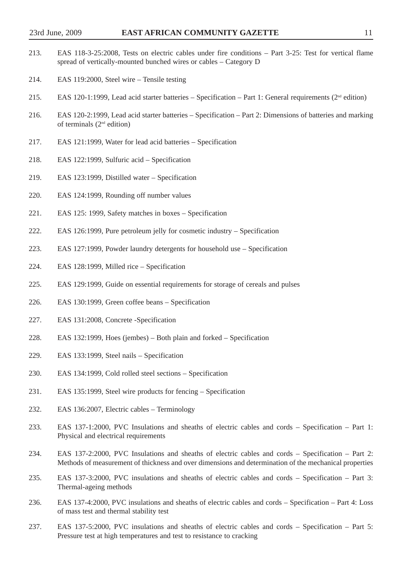- 213. EAS 118-3-25:2008, Tests on electric cables under fire conditions Part 3-25: Test for vertical flame spread of vertically-mounted bunched wires or cables – Category D
- 214. EAS 119:2000, Steel wire Tensile testing
- 215. EAS 120-1:1999, Lead acid starter batteries Specification Part 1: General requirements ( $2<sup>nd</sup>$  edition)
- 216. EAS 120-2:1999, Lead acid starter batteries Specification Part 2: Dimensions of batteries and marking of terminals  $(2<sup>nd</sup>$  edition)
- 217. EAS 121:1999, Water for lead acid batteries Specification
- 218. EAS 122:1999, Sulfuric acid Specification
- 219. EAS 123:1999, Distilled water Specification
- 220. EAS 124:1999, Rounding off number values
- 221. EAS 125: 1999, Safety matches in boxes Specification
- 222. EAS 126:1999, Pure petroleum jelly for cosmetic industry Specification
- 223. EAS 127:1999, Powder laundry detergents for household use Specification
- 224. EAS 128:1999, Milled rice Specification
- 225. EAS 129:1999, Guide on essential requirements for storage of cereals and pulses
- 226. EAS 130:1999, Green coffee beans Specification
- 227. EAS 131:2008, Concrete -Specification
- 228. EAS 132:1999, Hoes (jembes) Both plain and forked Specification
- 229. EAS 133:1999, Steel nails Specification
- 230. EAS 134:1999, Cold rolled steel sections Specification
- 231. EAS 135:1999, Steel wire products for fencing Specification
- 232. EAS 136:2007, Electric cables Terminology
- 233. EAS 137-1:2000, PVC Insulations and sheaths of electric cables and cords Specification Part 1: Physical and electrical requirements
- 234. EAS 137-2:2000, PVC Insulations and sheaths of electric cables and cords Specification Part 2: Methods of measurement of thickness and over dimensions and determination of the mechanical properties
- 235. EAS 137-3:2000, PVC insulations and sheaths of electric cables and cords Specification Part 3: Thermal-ageing methods
- 236. EAS 137-4:2000, PVC insulations and sheaths of electric cables and cords Specification Part 4: Loss of mass test and thermal stability test
- 237. EAS 137-5:2000, PVC insulations and sheaths of electric cables and cords Specification Part 5: Pressure test at high temperatures and test to resistance to cracking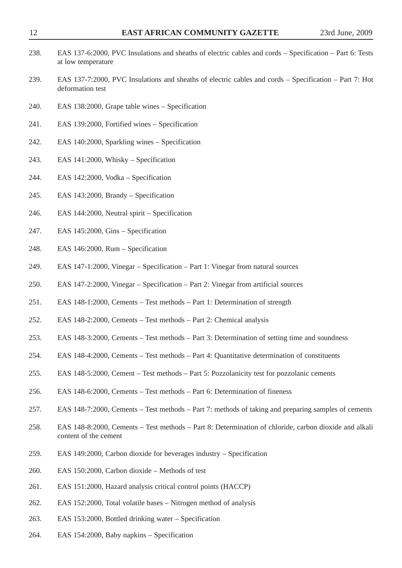| 238. | EAS 137-6:2000, PVC Insulations and sheaths of electric cables and cords - Specification - Part 6: Tests<br>at low temperature |
|------|--------------------------------------------------------------------------------------------------------------------------------|
| 239. | EAS 137-7:2000, PVC Insulations and sheaths of electric cables and cords – Specification – Part 7: Hot<br>deformation test     |
| 240. | EAS 138:2000, Grape table wines - Specification                                                                                |
| 241. | EAS 139:2000, Fortified wines - Specification                                                                                  |
| 242. | EAS 140:2000, Sparkling wines – Specification                                                                                  |
| 243. | EAS 141:2000, Whisky – Specification                                                                                           |
| 244. | EAS 142:2000, Vodka – Specification                                                                                            |
| 245. | EAS 143:2000, Brandy – Specification                                                                                           |
| 246. | EAS 144:2000, Neutral spirit – Specification                                                                                   |
| 247. | EAS 145:2000, Gins - Specification                                                                                             |
| 248. | EAS 146:2000, Rum - Specification                                                                                              |
| 249. | EAS 147-1:2000, Vinegar – Specification – Part 1: Vinegar from natural sources                                                 |
| 250. | EAS 147-2:2000, Vinegar – Specification – Part 2: Vinegar from artificial sources                                              |
| 251. | EAS 148-1:2000, Cements - Test methods - Part 1: Determination of strength                                                     |
| 252. | EAS 148-2:2000, Cements – Test methods – Part 2: Chemical analysis                                                             |
| 253. | EAS 148-3:2000, Cements – Test methods – Part 3: Determination of setting time and soundness                                   |
| 254. | EAS 148-4:2000, Cements – Test methods – Part 4: Quantitative determination of constituents                                    |
| 255. | EAS 148-5:2000, Cement – Test methods – Part 5: Pozzolanicity test for pozzolanic cements                                      |
| 256. | EAS 148-6:2000, Cements - Test methods - Part 6: Determination of fineness                                                     |
| 257. | EAS 148-7:2000, Cements – Test methods – Part 7: methods of taking and preparing samples of cements                            |
| 258. | EAS 148-8:2000, Cements – Test methods – Part 8: Determination of chloride, carbon dioxide and alkali<br>content of the cement |
| 259. | EAS 149:2000, Carbon dioxide for beverages industry – Specification                                                            |
| 260. | EAS 150:2000, Carbon dioxide - Methods of test                                                                                 |
| 261. | EAS 151:2000, Hazard analysis critical control points (HACCP)                                                                  |
| 262. | EAS 152:2000, Total volatile bases – Nitrogen method of analysis                                                               |
| 263. | EAS 153:2000, Bottled drinking water – Specification                                                                           |

264. EAS 154:2000, Baby napkins – Specification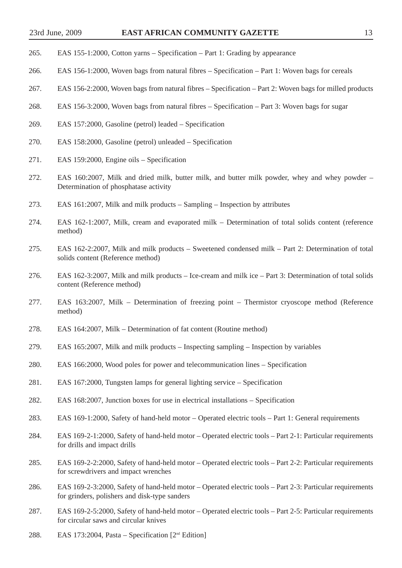- 265. EAS 155-1:2000, Cotton yarns Specification Part 1: Grading by appearance
- 266. EAS 156-1:2000, Woven bags from natural fibres Specification Part 1: Woven bags for cereals
- 267. EAS 156-2:2000, Woven bags from natural fibres Specification Part 2: Woven bags for milled products
- 268. EAS 156-3:2000, Woven bags from natural fibres Specification Part 3: Woven bags for sugar
- 269. EAS 157:2000, Gasoline (petrol) leaded Specification
- 270. EAS 158:2000, Gasoline (petrol) unleaded Specification
- 271. EAS 159:2000, Engine oils Specification
- 272. EAS 160:2007, Milk and dried milk, butter milk, and butter milk powder, whey and whey powder Determination of phosphatase activity
- 273. EAS 161:2007, Milk and milk products Sampling Inspection by attributes
- 274. EAS 162-1:2007, Milk, cream and evaporated milk Determination of total solids content (reference method)
- 275. EAS 162-2:2007, Milk and milk products Sweetened condensed milk Part 2: Determination of total solids content (Reference method)
- 276. EAS 162-3:2007, Milk and milk products Ice-cream and milk ice Part 3: Determination of total solids content (Reference method)
- 277. EAS 163:2007, Milk Determination of freezing point Thermistor cryoscope method (Reference method)
- 278. EAS 164:2007, Milk Determination of fat content (Routine method)
- 279. EAS 165:2007, Milk and milk products Inspecting sampling Inspection by variables
- 280. EAS 166:2000, Wood poles for power and telecommunication lines Specification
- 281. EAS 167:2000, Tungsten lamps for general lighting service Specification
- 282. EAS 168:2007, Junction boxes for use in electrical installations Specification
- 283. EAS 169-1:2000, Safety of hand-held motor Operated electric tools Part 1: General requirements
- 284. EAS 169-2-1:2000, Safety of hand-held motor Operated electric tools Part 2-1: Particular requirements for drills and impact drills
- 285. EAS 169-2-2:2000, Safety of hand-held motor Operated electric tools Part 2-2: Particular requirements for screwdrivers and impact wrenches
- 286. EAS 169-2-3:2000, Safety of hand-held motor Operated electric tools Part 2-3: Particular requirements for grinders, polishers and disk-type sanders
- 287. EAS 169-2-5:2000, Safety of hand-held motor Operated electric tools Part 2-5: Particular requirements for circular saws and circular knives
- 288. EAS 173:2004, Pasta Specification  $[2<sup>nd</sup> Edition]$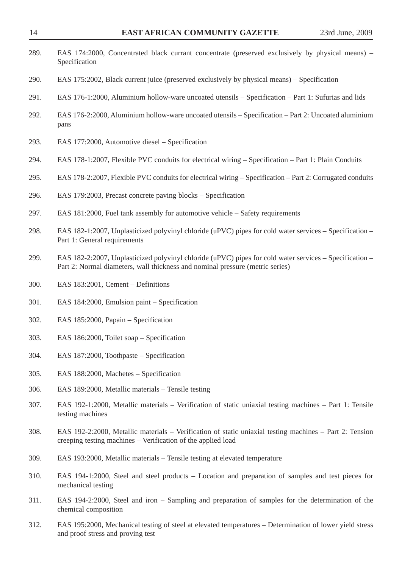| 289. | EAS 174:2000, Concentrated black currant concentrate (preserved exclusively by physical means) –<br>Specification                                                                        |
|------|------------------------------------------------------------------------------------------------------------------------------------------------------------------------------------------|
| 290. | EAS 175:2002, Black current juice (preserved exclusively by physical means) – Specification                                                                                              |
| 291. | EAS 176-1:2000, Aluminium hollow-ware uncoated utensils – Specification – Part 1: Sufurias and lids                                                                                      |
| 292. | EAS 176-2:2000, Aluminium hollow-ware uncoated utensils – Specification – Part 2: Uncoated aluminium<br>pans                                                                             |
| 293. | EAS 177:2000, Automotive diesel – Specification                                                                                                                                          |
| 294. | EAS 178-1:2007, Flexible PVC conduits for electrical wiring – Specification – Part 1: Plain Conduits                                                                                     |
| 295. | EAS 178-2:2007, Flexible PVC conduits for electrical wiring – Specification – Part 2: Corrugated conduits                                                                                |
| 296. | EAS 179:2003, Precast concrete paving blocks – Specification                                                                                                                             |
| 297. | EAS 181:2000, Fuel tank assembly for automotive vehicle – Safety requirements                                                                                                            |
| 298. | EAS 182-1:2007, Unplasticized polyvinyl chloride (uPVC) pipes for cold water services – Specification –<br>Part 1: General requirements                                                  |
| 299. | EAS 182-2:2007, Unplasticized polyvinyl chloride (uPVC) pipes for cold water services – Specification –<br>Part 2: Normal diameters, wall thickness and nominal pressure (metric series) |
| 300. | EAS 183:2001, Cement - Definitions                                                                                                                                                       |
| 301. | EAS 184:2000, Emulsion paint – Specification                                                                                                                                             |
| 302. | EAS 185:2000, Papain - Specification                                                                                                                                                     |
| 303. | EAS 186:2000, Toilet soap – Specification                                                                                                                                                |
| 304. | EAS 187:2000, Toothpaste – Specification                                                                                                                                                 |
| 305. | EAS 188:2000, Machetes – Specification                                                                                                                                                   |
| 306. | EAS 189:2000, Metallic materials – Tensile testing                                                                                                                                       |
| 307. | EAS 192-1:2000, Metallic materials – Verification of static uniaxial testing machines – Part 1: Tensile<br>testing machines                                                              |
| 308. | EAS 192-2:2000, Metallic materials – Verification of static uniaxial testing machines – Part 2: Tension<br>creeping testing machines – Verification of the applied load                  |
| 309. | EAS 193:2000, Metallic materials - Tensile testing at elevated temperature                                                                                                               |
| 310. | EAS 194-1:2000, Steel and steel products – Location and preparation of samples and test pieces for<br>mechanical testing                                                                 |
| 311. | EAS 194-2:2000, Steel and iron – Sampling and preparation of samples for the determination of the<br>chemical composition                                                                |
| 312. | EAS 195:2000, Mechanical testing of steel at elevated temperatures – Determination of lower yield stress<br>and proof stress and proving test                                            |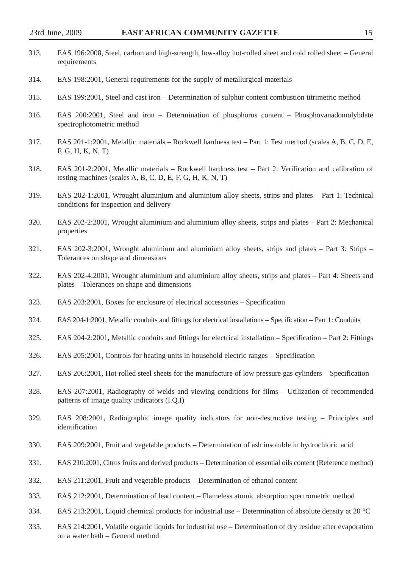| 313. | EAS 196:2008, Steel, carbon and high-strength, low-alloy hot-rolled sheet and cold rolled sheet – General<br>requirements                                          |
|------|--------------------------------------------------------------------------------------------------------------------------------------------------------------------|
| 314. | EAS 198:2001, General requirements for the supply of metallurgical materials                                                                                       |
| 315. | EAS 199:2001, Steel and cast iron – Determination of sulphur content combustion titrimetric method                                                                 |
| 316. | EAS 200:2001, Steel and iron – Determination of phosphorus content – Phosphovanadomolybdate<br>spectrophotometric method                                           |
| 317. | EAS 201-1:2001, Metallic materials – Rockwell hardness test – Part 1: Test method (scales A, B, C, D, E,<br>F, G, H, K, N, T                                       |
| 318. | EAS 201-2:2001, Metallic materials - Rockwell hardness test - Part 2: Verification and calibration of<br>testing machines (scales A, B, C, D, E, F, G, H, K, N, T) |
| 319. | EAS 202-1:2001, Wrought aluminium and aluminium alloy sheets, strips and plates - Part 1: Technical<br>conditions for inspection and delivery                      |
| 320. | EAS 202-2:2001, Wrought aluminium and aluminium alloy sheets, strips and plates – Part 2: Mechanical<br>properties                                                 |
| 321. | EAS 202-3:2001, Wrought aluminium and aluminium alloy sheets, strips and plates – Part 3: Strips –<br>Tolerances on shape and dimensions                           |
| 322. | EAS 202-4:2001, Wrought aluminium and aluminium alloy sheets, strips and plates – Part 4: Sheets and<br>plates – Tolerances on shape and dimensions                |
| 323. | EAS 203:2001, Boxes for enclosure of electrical accessories – Specification                                                                                        |
| 324. | EAS 204-1:2001, Metallic conduits and fittings for electrical installations – Specification – Part 1: Conduits                                                     |
| 325. | EAS 204-2:2001, Metallic conduits and fittings for electrical installation – Specification – Part 2: Fittings                                                      |
| 326. | EAS 205:2001, Controls for heating units in household electric ranges – Specification                                                                              |
| 327. | EAS 206:2001, Hot rolled steel sheets for the manufacture of low pressure gas cylinders – Specification                                                            |
| 328. | EAS 207:2001, Radiography of welds and viewing conditions for films – Utilization of recommended<br>patterns of image quality indicators (I.Q.I)                   |
| 329. | EAS 208:2001, Radiographic image quality indicators for non-destructive testing – Principles and<br>identification                                                 |
| 330. | EAS 209:2001, Fruit and vegetable products – Determination of ash insoluble in hydrochloric acid                                                                   |
| 331. | EAS 210:2001, Citrus fruits and derived products – Determination of essential oils content (Reference method)                                                      |
| 332. | EAS 211:2001, Fruit and vegetable products – Determination of ethanol content                                                                                      |
| 333. | EAS 212:2001, Determination of lead content – Flameless atomic absorption spectrometric method                                                                     |

- 334. EAS 213:2001, Liquid chemical products for industrial use Determination of absolute density at 20 °C
- 335. EAS 214:2001, Volatile organic liquids for industrial use Determination of dry residue after evaporation on a water bath – General method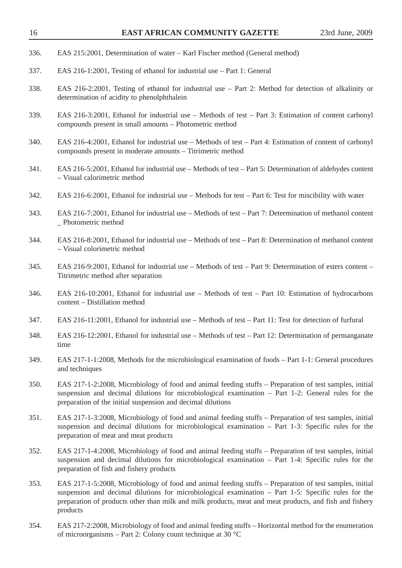| 336. | EAS 215:2001, Determination of water – Karl Fischer method (General method)                                                                                                                                                                                                                                                           |
|------|---------------------------------------------------------------------------------------------------------------------------------------------------------------------------------------------------------------------------------------------------------------------------------------------------------------------------------------|
| 337. | EAS 216-1:2001, Testing of ethanol for industrial use – Part 1: General                                                                                                                                                                                                                                                               |
| 338. | EAS 216-2:2001, Testing of ethanol for industrial use – Part 2: Method for detection of alkalinity or<br>determination of acidity to phenolphthalein                                                                                                                                                                                  |
| 339. | EAS 216-3:2001, Ethanol for industrial use – Methods of test – Part 3: Estimation of content carbonyl<br>compounds present in small amounts - Photometric method                                                                                                                                                                      |
| 340. | EAS 216-4:2001, Ethanol for industrial use – Methods of test – Part 4: Estimation of content of carbonyl<br>compounds present in moderate amounts - Titrimetric method                                                                                                                                                                |
| 341. | EAS 216-5:2001, Ethanol for industrial use – Methods of test – Part 5: Determination of aldehydes content<br>- Visual calorimetric method                                                                                                                                                                                             |
| 342. | EAS 216-6:2001, Ethanol for industrial use – Methods for test – Part 6: Test for miscibility with water                                                                                                                                                                                                                               |
| 343. | EAS 216-7:2001, Ethanol for industrial use - Methods of test - Part 7: Determination of methanol content<br>_ Photometric method                                                                                                                                                                                                      |
| 344. | EAS 216-8:2001, Ethanol for industrial use – Methods of test – Part 8: Determination of methanol content<br>- Visual colorimetric method                                                                                                                                                                                              |
| 345. | EAS 216-9:2001, Ethanol for industrial use – Methods of test – Part 9: Determination of esters content –<br>Titrimetric method after separation                                                                                                                                                                                       |
| 346. | EAS 216-10:2001, Ethanol for industrial use – Methods of test – Part 10: Estimation of hydrocarbons<br>content - Distillation method                                                                                                                                                                                                  |
| 347. | EAS 216-11:2001, Ethanol for industrial use – Methods of test – Part 11: Test for detection of furfural                                                                                                                                                                                                                               |
| 348. | EAS 216-12:2001, Ethanol for industrial use – Methods of test – Part 12: Determination of permanganate<br>time                                                                                                                                                                                                                        |
| 349. | EAS 217-1-1:2008, Methods for the microbiological examination of foods - Part 1-1: General procedures<br>and techniques                                                                                                                                                                                                               |
| 350. | EAS 217-1-2:2008, Microbiology of food and animal feeding stuffs – Preparation of test samples, initial<br>suspension and decimal dilutions for microbiological examination - Part 1-2: General rules for the<br>preparation of the initial suspension and decimal dilutions                                                          |
| 351. | EAS 217-1-3:2008, Microbiology of food and animal feeding stuffs – Preparation of test samples, initial<br>suspension and decimal dilutions for microbiological examination - Part 1-3: Specific rules for the<br>preparation of meat and meat products                                                                               |
| 352. | EAS 217-1-4:2008, Microbiology of food and animal feeding stuffs – Preparation of test samples, initial<br>suspension and decimal dilutions for microbiological examination - Part 1-4: Specific rules for the<br>preparation of fish and fishery products                                                                            |
| 353. | EAS 217-1-5:2008, Microbiology of food and animal feeding stuffs – Preparation of test samples, initial<br>suspension and decimal dilutions for microbiological examination - Part 1-5: Specific rules for the<br>preparation of products other than milk and milk products, meat and meat products, and fish and fishery<br>products |
| 354. | EAS 217-2:2008, Microbiology of food and animal feeding stuffs - Horizontal method for the enumeration<br>of microorganisms – Part 2: Colony count technique at 30 $^{\circ}$ C                                                                                                                                                       |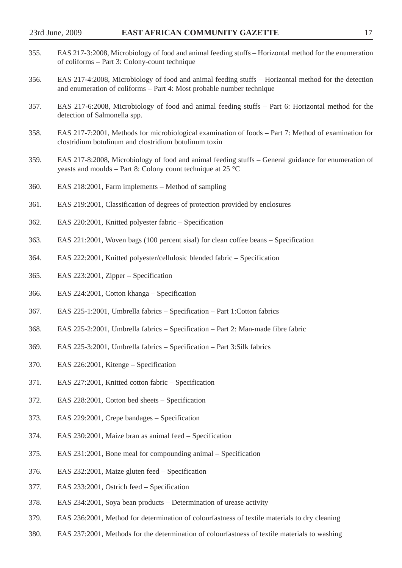| 355. | EAS 217-3:2008, Microbiology of food and animal feeding stuffs – Horizontal method for the enumeration<br>of coliforms – Part 3: Colony-count technique                       |
|------|-------------------------------------------------------------------------------------------------------------------------------------------------------------------------------|
| 356. | EAS 217-4:2008, Microbiology of food and animal feeding stuffs - Horizontal method for the detection<br>and enumeration of coliforms – Part 4: Most probable number technique |
| 357. | EAS 217-6:2008, Microbiology of food and animal feeding stuffs – Part 6: Horizontal method for the<br>detection of Salmonella spp.                                            |
| 358. | EAS 217-7:2001, Methods for microbiological examination of foods – Part 7: Method of examination for<br>clostridium botulinum and clostridium botulinum toxin                 |
| 359. | EAS 217-8:2008, Microbiology of food and animal feeding stuffs – General guidance for enumeration of<br>yeasts and moulds – Part 8: Colony count technique at 25 $^{\circ}$ C |
| 360. | EAS 218:2001, Farm implements – Method of sampling                                                                                                                            |
| 361. | EAS 219:2001, Classification of degrees of protection provided by enclosures                                                                                                  |
| 362. | EAS 220:2001, Knitted polyester fabric – Specification                                                                                                                        |
| 363. | EAS 221:2001, Woven bags (100 percent sisal) for clean coffee beans – Specification                                                                                           |
| 364. | EAS 222:2001, Knitted polyester/cellulosic blended fabric – Specification                                                                                                     |
| 365. | EAS 223:2001, Zipper - Specification                                                                                                                                          |
| 366. | EAS 224:2001, Cotton khanga – Specification                                                                                                                                   |
| 367. | EAS 225-1:2001, Umbrella fabrics – Specification – Part 1: Cotton fabrics                                                                                                     |
| 368. | EAS 225-2:2001, Umbrella fabrics – Specification – Part 2: Man-made fibre fabric                                                                                              |
| 369. | EAS 225-3:2001, Umbrella fabrics – Specification – Part 3:Silk fabrics                                                                                                        |
| 370. | EAS 226:2001, Kitenge – Specification                                                                                                                                         |
| 371. | EAS 227:2001, Knitted cotton fabric - Specification                                                                                                                           |
| 372. | EAS 228:2001, Cotton bed sheets - Specification                                                                                                                               |
| 373. | EAS 229:2001, Crepe bandages - Specification                                                                                                                                  |
| 374. | EAS 230:2001, Maize bran as animal feed - Specification                                                                                                                       |
| 375. | EAS 231:2001, Bone meal for compounding animal – Specification                                                                                                                |
| 376. | EAS 232:2001, Maize gluten feed – Specification                                                                                                                               |
| 377. | EAS 233:2001, Ostrich feed – Specification                                                                                                                                    |
| 378. | EAS 234:2001, Soya bean products – Determination of urease activity                                                                                                           |
| 379. | EAS 236:2001, Method for determination of colourfastness of textile materials to dry cleaning                                                                                 |

380. EAS 237:2001, Methods for the determination of colourfastness of textile materials to washing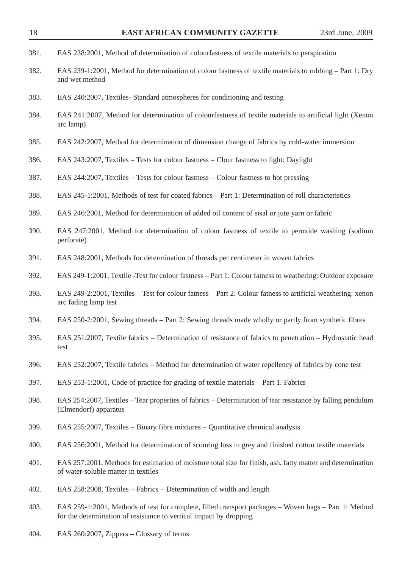| 18   | <b>EAST AFRICAN COMMUNITY GAZETTE</b>                                                                                                                                       | 23rd June, 2009 |
|------|-----------------------------------------------------------------------------------------------------------------------------------------------------------------------------|-----------------|
| 381. | EAS 238:2001, Method of determination of colourfastness of textile materials to perspiration                                                                                |                 |
| 382. | EAS 239-1:2001, Method for determination of colour fastness of textile materials to rubbing - Part 1: Dry<br>and wet method                                                 |                 |
| 383. | EAS 240:2007, Textiles-Standard atmospheres for conditioning and testing                                                                                                    |                 |
| 384. | EAS 241:2007, Method for determination of colourfastness of textile materials to artificial light (Xenon<br>arc lamp)                                                       |                 |
| 385. | EAS 242:2007, Method for determination of dimension change of fabrics by cold-water immersion                                                                               |                 |
| 386. | EAS 243:2007, Textiles – Tests for colour fastness – Clour fastness to light: Daylight                                                                                      |                 |
| 387. | EAS 244:2007, Textiles – Tests for colour fastness – Colour fastness to hot pressing                                                                                        |                 |
| 388. | EAS 245-1:2001, Methods of test for coated fabrics – Part 1: Determination of roll characteristics                                                                          |                 |
| 389. | EAS 246:2001, Method for determination of added oil content of sisal or jute yarn or fabric                                                                                 |                 |
| 390. | EAS 247:2001, Method for determination of colour fastness of textile to peroxide washing (sodium<br>perforate)                                                              |                 |
| 391. | EAS 248:2001, Methods for determination of threads per centimeter in woven fabrics                                                                                          |                 |
| 392. | EAS 249-1:2001, Textile -Test for colour fastness – Part 1: Colour fatness to weathering: Outdoor exposure                                                                  |                 |
| 393. | EAS 249-2:2001, Textiles – Test for colour fatness – Part 2: Colour fatness to artificial weathering: xenon<br>arc fading lamp test                                         |                 |
| 394. | EAS 250-2:2001, Sewing threads – Part 2: Sewing threads made wholly or partly from synthetic fibres                                                                         |                 |
| 395. | EAS 251:2007, Textile fabrics - Determination of resistance of fabrics to penetration - Hydrostatic head<br>test                                                            |                 |
| 396. | EAS 252:2007, Textile fabrics – Method for determination of water repellency of fabrics by cone test                                                                        |                 |
| 397. | EAS 253-1:2001, Code of practice for grading of textile materials - Part 1. Fabrics                                                                                         |                 |
| 398. | EAS 254:2007, Textiles – Tear properties of fabrics – Determination of tear resistance by falling pendulum<br>(Elmendorf) apparatus                                         |                 |
| 399. | EAS 255:2007, Textiles – Binary fibre mixtures – Quantitative chemical analysis                                                                                             |                 |
| 400. | EAS 256:2001, Method for determination of scouring loss in grey and finished cotton textile materials                                                                       |                 |
| 401. | EAS 257:2001, Methods for estimation of moisture total size for finish, ash, fatty matter and determination<br>of water-soluble matter in textiles                          |                 |
| 402. | EAS 258:2008, Textiles - Fabrics - Determination of width and length                                                                                                        |                 |
| 403. | EAS 259-1:2001, Methods of test for complete, filled transport packages – Woven bags – Part 1: Method<br>for the determination of resistance to vertical impact by dropping |                 |
| 404. | EAS 260:2007, Zippers – Glossary of terms                                                                                                                                   |                 |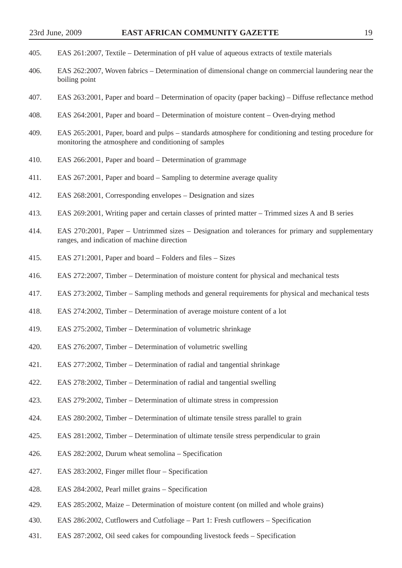- 405. EAS 261:2007, Textile Determination of pH value of aqueous extracts of textile materials
- 406. EAS 262:2007, Woven fabrics Determination of dimensional change on commercial laundering near the boiling point
- 407. EAS 263:2001, Paper and board Determination of opacity (paper backing) Diffuse reflectance method
- 408. EAS 264:2001, Paper and board Determination of moisture content Oven-drying method
- 409. EAS 265:2001, Paper, board and pulps standards atmosphere for conditioning and testing procedure for monitoring the atmosphere and conditioning of samples
- 410. EAS 266:2001, Paper and board Determination of grammage
- 411. EAS 267:2001, Paper and board Sampling to determine average quality
- 412. EAS 268:2001, Corresponding envelopes Designation and sizes
- 413. EAS 269:2001, Writing paper and certain classes of printed matter Trimmed sizes A and B series
- 414. EAS 270:2001, Paper Untrimmed sizes Designation and tolerances for primary and supplementary ranges, and indication of machine direction
- 415. EAS 271:2001, Paper and board Folders and files Sizes
- 416. EAS 272:2007, Timber Determination of moisture content for physical and mechanical tests
- 417. EAS 273:2002, Timber Sampling methods and general requirements for physical and mechanical tests
- 418. EAS 274:2002, Timber Determination of average moisture content of a lot
- 419. EAS 275:2002, Timber Determination of volumetric shrinkage
- 420. EAS 276:2007, Timber Determination of volumetric swelling
- 421. EAS 277:2002, Timber Determination of radial and tangential shrinkage
- 422. EAS 278:2002, Timber Determination of radial and tangential swelling
- 423. EAS 279:2002, Timber Determination of ultimate stress in compression
- 424. EAS 280:2002, Timber Determination of ultimate tensile stress parallel to grain
- 425. EAS 281:2002, Timber Determination of ultimate tensile stress perpendicular to grain
- 426. EAS 282:2002, Durum wheat semolina Specification
- 427. EAS 283:2002, Finger millet flour Specification
- 428. EAS 284:2002, Pearl millet grains Specification
- 429. EAS 285:2002, Maize Determination of moisture content (on milled and whole grains)
- 430. EAS 286:2002, Cutflowers and Cutfoliage Part 1: Fresh cutflowers Specification
- 431. EAS 287:2002, Oil seed cakes for compounding livestock feeds Specification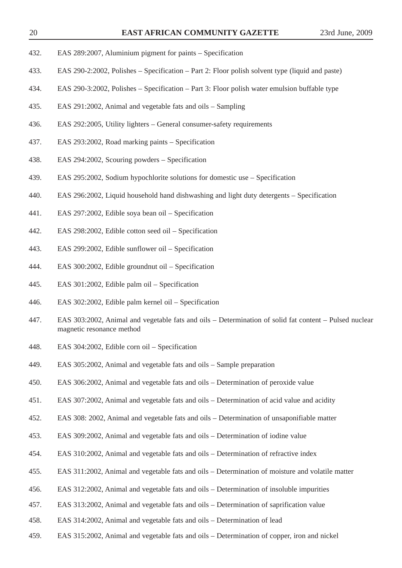- 432. EAS 289:2007, Aluminium pigment for paints Specification
- 433. EAS 290-2:2002, Polishes Specification Part 2: Floor polish solvent type (liquid and paste)
- 434. EAS 290-3:2002, Polishes Specification Part 3: Floor polish water emulsion buffable type
- 435. EAS 291:2002, Animal and vegetable fats and oils Sampling
- 436. EAS 292:2005, Utility lighters General consumer-safety requirements
- 437. EAS 293:2002, Road marking paints Specification
- 438. EAS 294:2002, Scouring powders Specification
- 439. EAS 295:2002, Sodium hypochlorite solutions for domestic use Specification
- 440. EAS 296:2002, Liquid household hand dishwashing and light duty detergents Specification
- 441. EAS 297:2002, Edible soya bean oil Specification
- 442. EAS 298:2002, Edible cotton seed oil Specification
- 443. EAS 299:2002, Edible sunflower oil Specification
- 444. EAS 300:2002, Edible groundnut oil Specification
- 445. EAS 301:2002, Edible palm oil Specification
- 446. EAS 302:2002, Edible palm kernel oil Specification
- 447. EAS 303:2002, Animal and vegetable fats and oils Determination of solid fat content Pulsed nuclear magnetic resonance method
- 448. EAS 304:2002, Edible corn oil Specification
- 449. EAS 305:2002, Animal and vegetable fats and oils Sample preparation
- 450. EAS 306:2002, Animal and vegetable fats and oils Determination of peroxide value
- 451. EAS 307:2002, Animal and vegetable fats and oils Determination of acid value and acidity
- 452. EAS 308: 2002, Animal and vegetable fats and oils Determination of unsaponifiable matter
- 453. EAS 309:2002, Animal and vegetable fats and oils Determination of iodine value
- 454. EAS 310:2002, Animal and vegetable fats and oils Determination of refractive index
- 455. EAS 311:2002, Animal and vegetable fats and oils Determination of moisture and volatile matter
- 456. EAS 312:2002, Animal and vegetable fats and oils Determination of insoluble impurities
- 457. EAS 313:2002, Animal and vegetable fats and oils Determination of saprification value
- 458. EAS 314:2002, Animal and vegetable fats and oils Determination of lead
- 459. EAS 315:2002, Animal and vegetable fats and oils Determination of copper, iron and nickel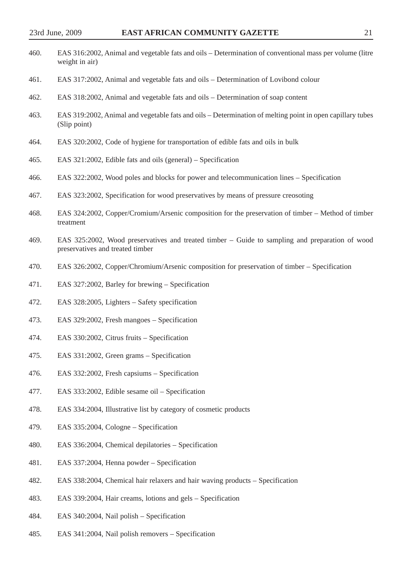| 460. | EAS 316:2002, Animal and vegetable fats and oils – Determination of conventional mass per volume (litre<br>weight in air)           |
|------|-------------------------------------------------------------------------------------------------------------------------------------|
| 461. | EAS 317:2002, Animal and vegetable fats and oils – Determination of Lovibond colour                                                 |
| 462. | EAS 318:2002, Animal and vegetable fats and oils – Determination of soap content                                                    |
| 463. | EAS 319:2002, Animal and vegetable fats and oils – Determination of melting point in open capillary tubes<br>(Slip point)           |
| 464. | EAS 320:2002, Code of hygiene for transportation of edible fats and oils in bulk                                                    |
| 465. | EAS 321:2002, Edible fats and oils (general) – Specification                                                                        |
| 466. | EAS 322:2002, Wood poles and blocks for power and telecommunication lines – Specification                                           |
| 467. | EAS 323:2002, Specification for wood preservatives by means of pressure creosoting                                                  |
| 468. | EAS 324:2002, Copper/Cromium/Arsenic composition for the preservation of timber – Method of timber<br>treatment                     |
| 469. | EAS 325:2002, Wood preservatives and treated timber – Guide to sampling and preparation of wood<br>preservatives and treated timber |
| 470. | EAS 326:2002, Copper/Chromium/Arsenic composition for preservation of timber – Specification                                        |
| 471. | EAS 327:2002, Barley for brewing – Specification                                                                                    |
| 472. | EAS 328:2005, Lighters – Safety specification                                                                                       |
| 473. | EAS 329:2002, Fresh mangoes - Specification                                                                                         |
| 474. | EAS 330:2002, Citrus fruits - Specification                                                                                         |
| 475. | EAS 331:2002, Green grams - Specification                                                                                           |
| 476. | EAS 332:2002, Fresh capsiums - Specification                                                                                        |
| 477. | EAS 333:2002, Edible sesame oil - Specification                                                                                     |

- 478. EAS 334:2004, Illustrative list by category of cosmetic products
- 479. EAS 335:2004, Cologne Specification
- 480. EAS 336:2004, Chemical depilatories Specification
- 481. EAS 337:2004, Henna powder Specification
- 482. EAS 338:2004, Chemical hair relaxers and hair waving products Specification
- 483. EAS 339:2004, Hair creams, lotions and gels Specification
- 484. EAS 340:2004, Nail polish Specification
- 485. EAS 341:2004, Nail polish removers Specification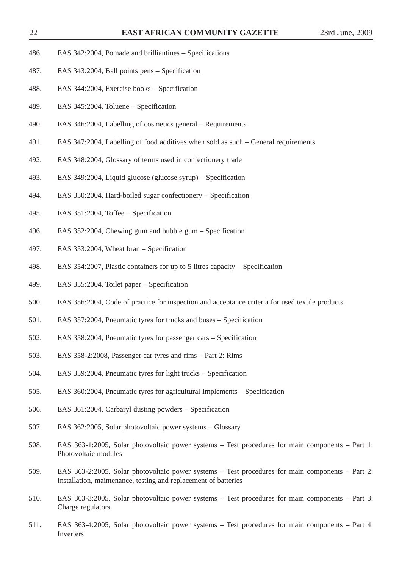- 486. EAS 342:2004, Pomade and brilliantines Specifications
- 487. EAS 343:2004, Ball points pens Specification
- 488. EAS 344:2004, Exercise books Specification
- 489. EAS 345:2004, Toluene Specification
- 490. EAS 346:2004, Labelling of cosmetics general Requirements
- 491. EAS 347:2004, Labelling of food additives when sold as such General requirements
- 492. EAS 348:2004, Glossary of terms used in confectionery trade
- 493. EAS 349:2004, Liquid glucose (glucose syrup) Specification
- 494. EAS 350:2004, Hard-boiled sugar confectionery Specification
- 495. EAS 351:2004, Toffee Specification
- 496. EAS 352:2004, Chewing gum and bubble gum Specification
- 497. EAS 353:2004, Wheat bran Specification
- 498. EAS 354:2007, Plastic containers for up to 5 litres capacity Specification
- 499. EAS 355:2004, Toilet paper Specification
- 500. EAS 356:2004, Code of practice for inspection and acceptance criteria for used textile products
- 501. EAS 357:2004, Pneumatic tyres for trucks and buses Specification
- 502. EAS 358:2004, Pneumatic tyres for passenger cars Specification
- 503. EAS 358-2:2008, Passenger car tyres and rims Part 2: Rims
- 504. EAS 359:2004, Pneumatic tyres for light trucks Specification
- 505. EAS 360:2004, Pneumatic tyres for agricultural Implements Specification
- 506. EAS 361:2004, Carbaryl dusting powders Specification
- 507. EAS 362:2005, Solar photovoltaic power systems Glossary
- 508. EAS 363-1:2005, Solar photovoltaic power systems Test procedures for main components Part 1: Photovoltaic modules
- 509. EAS 363-2:2005, Solar photovoltaic power systems Test procedures for main components Part 2: Installation, maintenance, testing and replacement of batteries
- 510. EAS 363-3:2005, Solar photovoltaic power systems Test procedures for main components Part 3: Charge regulators
- 511. EAS 363-4:2005, Solar photovoltaic power systems Test procedures for main components Part 4: Inverters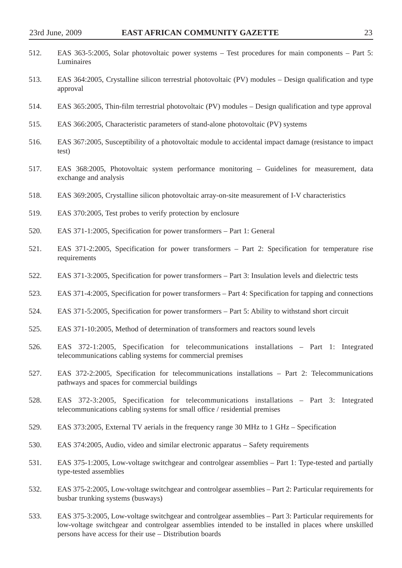| 512. | EAS 363-5:2005, Solar photovoltaic power systems – Test procedures for main components – Part 5:<br>Luminaires                                                        |
|------|-----------------------------------------------------------------------------------------------------------------------------------------------------------------------|
| 513. | EAS 364:2005, Crystalline silicon terrestrial photovoltaic (PV) modules – Design qualification and type<br>approval                                                   |
| 514. | EAS 365:2005, Thin-film terrestrial photovoltaic (PV) modules – Design qualification and type approval                                                                |
| 515. | EAS 366:2005, Characteristic parameters of stand-alone photovoltaic (PV) systems                                                                                      |
| 516. | EAS 367:2005, Susceptibility of a photovoltaic module to accidental impact damage (resistance to impact<br>test)                                                      |
| 517. | EAS 368:2005, Photovoltaic system performance monitoring – Guidelines for measurement, data<br>exchange and analysis                                                  |
| 518. | EAS 369:2005, Crystalline silicon photovoltaic array-on-site measurement of I-V characteristics                                                                       |
| 519. | EAS 370:2005, Test probes to verify protection by enclosure                                                                                                           |
| 520. | EAS 371-1:2005, Specification for power transformers – Part 1: General                                                                                                |
| 521. | EAS 371-2:2005, Specification for power transformers – Part 2: Specification for temperature rise<br>requirements                                                     |
| 522. | EAS 371-3:2005, Specification for power transformers – Part 3: Insulation levels and dielectric tests                                                                 |
| 523. | EAS 371-4:2005, Specification for power transformers – Part 4: Specification for tapping and connections                                                              |
| 524. | EAS 371-5:2005, Specification for power transformers – Part 5: Ability to withstand short circuit                                                                     |
| 525. | EAS 371-10:2005, Method of determination of transformers and reactors sound levels                                                                                    |
| 526. | EAS 372-1:2005, Specification for telecommunications installations – Part 1: Integrated<br>telecommunications cabling systems for commercial premises                 |
| 527. | EAS 372-2:2005, Specification for telecommunications installations – Part 2: Telecommunications<br>pathways and spaces for commercial buildings                       |
| 528. | EAS 372-3:2005, Specification for telecommunications installations – Part 3: Integrated<br>telecommunications cabling systems for small office / residential premises |
| 529. | EAS 373:2005, External TV aerials in the frequency range 30 MHz to 1 GHz – Specification                                                                              |
| 530. | EAS 374:2005, Audio, video and similar electronic apparatus – Safety requirements                                                                                     |
| 531. | EAS 375-1:2005, Low-voltage switchgear and controlgear assemblies – Part 1: Type-tested and partially<br>type-tested assemblies                                       |
| 532. | EAS 375-2:2005, Low-voltage switchgear and controlgear assemblies – Part 2: Particular requirements for<br>busbar trunking systems (busways)                          |
|      |                                                                                                                                                                       |

533. EAS 375-3:2005, Low-voltage switchgear and controlgear assemblies – Part 3: Particular requirements for low-voltage switchgear and controlgear assemblies intended to be installed in places where unskilled persons have access for their use – Distribution boards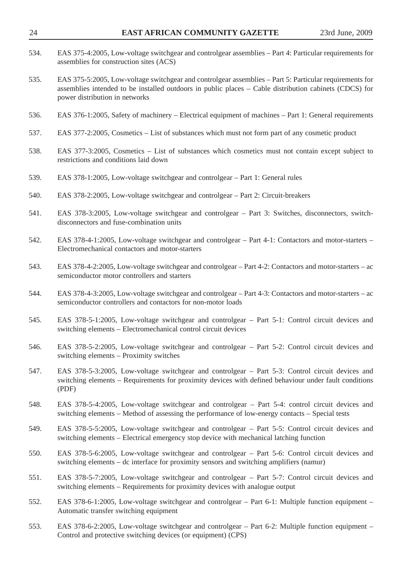| 534. | EAS 375-4:2005, Low-voltage switchgear and controlgear assemblies – Part 4: Particular requirements for<br>assemblies for construction sites (ACS)                                                                                                  |
|------|-----------------------------------------------------------------------------------------------------------------------------------------------------------------------------------------------------------------------------------------------------|
| 535. | EAS 375-5:2005, Low-voltage switchgear and controlgear assemblies - Part 5: Particular requirements for<br>assemblies intended to be installed outdoors in public places - Cable distribution cabinets (CDCS) for<br>power distribution in networks |
| 536. | EAS 376-1:2005, Safety of machinery – Electrical equipment of machines – Part 1: General requirements                                                                                                                                               |
| 537. | EAS 377-2:2005, Cosmetics - List of substances which must not form part of any cosmetic product                                                                                                                                                     |
| 538. | EAS 377-3:2005, Cosmetics – List of substances which cosmetics must not contain except subject to<br>restrictions and conditions laid down                                                                                                          |
| 539. | EAS 378-1:2005, Low-voltage switchgear and controlgear - Part 1: General rules                                                                                                                                                                      |
| 540. | EAS 378-2:2005, Low-voltage switchgear and controlgear – Part 2: Circuit-breakers                                                                                                                                                                   |
| 541. | EAS 378-3:2005, Low-voltage switchgear and controlgear - Part 3: Switches, disconnectors, switch-<br>disconnectors and fuse-combination units                                                                                                       |
| 542. | EAS 378-4-1:2005, Low-voltage switchgear and controlgear – Part 4-1: Contactors and motor-starters –<br>Electromechanical contactors and motor-starters                                                                                             |
| 543. | EAS 378-4-2:2005, Low-voltage switchgear and controlgear – Part 4-2: Contactors and motor-starters – ac<br>semiconductor motor controllers and starters                                                                                             |
| 544. | EAS 378-4-3:2005, Low-voltage switchgear and controlgear – Part 4-3: Contactors and motor-starters – ac<br>semiconductor controllers and contactors for non-motor loads                                                                             |
| 545. | EAS 378-5-1:2005, Low-voltage switchgear and controlgear – Part 5-1: Control circuit devices and<br>switching elements - Electromechanical control circuit devices                                                                                  |
| 546. | EAS 378-5-2:2005, Low-voltage switchgear and controlgear - Part 5-2: Control circuit devices and<br>switching elements - Proximity switches                                                                                                         |
| 547. | EAS 378-5-3:2005, Low-voltage switchgear and controlgear – Part 5-3: Control circuit devices and<br>switching elements – Requirements for proximity devices with defined behaviour under fault conditions<br>(PDF)                                  |
| 548. | EAS 378-5-4:2005, Low-voltage switchgear and controlgear – Part 5-4: control circuit devices and<br>switching elements – Method of assessing the performance of low-energy contacts – Special tests                                                 |
| 549. | EAS 378-5-5:2005, Low-voltage switchgear and controlgear – Part 5-5: Control circuit devices and<br>switching elements – Electrical emergency stop device with mechanical latching function                                                         |
| 550. | EAS 378-5-6:2005, Low-voltage switchgear and controlgear – Part 5-6: Control circuit devices and<br>switching elements – dc interface for proximity sensors and switching amplifiers (namur)                                                        |
| 551. | EAS 378-5-7:2005, Low-voltage switchgear and controlgear – Part 5-7: Control circuit devices and<br>switching elements – Requirements for proximity devices with analogue output                                                                    |
| 552. | EAS 378-6-1:2005, Low-voltage switchgear and controlgear – Part 6-1: Multiple function equipment –<br>Automatic transfer switching equipment                                                                                                        |
| 553. | EAS 378-6-2:2005, Low-voltage switchgear and controlgear – Part 6-2: Multiple function equipment –<br>Control and protective switching devices (or equipment) (CPS)                                                                                 |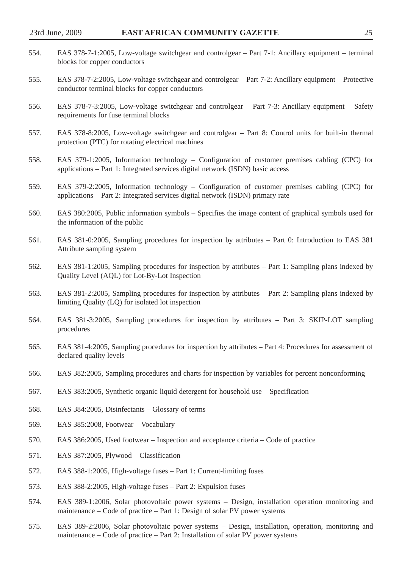| 554. | EAS 378-7-1:2005, Low-voltage switchgear and controlgear – Part 7-1: Ancillary equipment – terminal<br>blocks for copper conductors                                             |
|------|---------------------------------------------------------------------------------------------------------------------------------------------------------------------------------|
| 555. | EAS 378-7-2:2005, Low-voltage switchgear and controlgear - Part 7-2: Ancillary equipment - Protective<br>conductor terminal blocks for copper conductors                        |
| 556. | EAS 378-7-3:2005, Low-voltage switchgear and controlgear – Part 7-3: Ancillary equipment – Safety<br>requirements for fuse terminal blocks                                      |
| 557. | EAS 378-8:2005, Low-voltage switchgear and controlgear – Part 8: Control units for built-in thermal<br>protection (PTC) for rotating electrical machines                        |
| 558. | EAS 379-1:2005, Information technology – Configuration of customer premises cabling (CPC) for<br>applications - Part 1: Integrated services digital network (ISDN) basic access |
| 559. | EAS 379-2:2005, Information technology – Configuration of customer premises cabling (CPC) for<br>applications – Part 2: Integrated services digital network (ISDN) primary rate |
| 560. | EAS 380:2005, Public information symbols – Specifies the image content of graphical symbols used for<br>the information of the public                                           |
| 561. | EAS 381-0:2005, Sampling procedures for inspection by attributes – Part 0: Introduction to EAS 381<br>Attribute sampling system                                                 |
| 562. | EAS 381-1:2005, Sampling procedures for inspection by attributes – Part 1: Sampling plans indexed by<br>Quality Level (AQL) for Lot-By-Lot Inspection                           |
| 563. | EAS 381-2:2005, Sampling procedures for inspection by attributes – Part 2: Sampling plans indexed by<br>limiting Quality (LQ) for isolated lot inspection                       |
| 564. | EAS 381-3:2005, Sampling procedures for inspection by attributes – Part 3: SKIP-LOT sampling<br>procedures                                                                      |
| 565. | EAS 381-4:2005, Sampling procedures for inspection by attributes - Part 4: Procedures for assessment of<br>declared quality levels                                              |
| 566. | EAS 382:2005, Sampling procedures and charts for inspection by variables for percent nonconforming                                                                              |
| 567. | EAS $383:2005$ , Synthetic organic liquid detergent for household use $-$ Specification                                                                                         |
| 568. | EAS 384:2005, Disinfectants – Glossary of terms                                                                                                                                 |
| 569. | EAS 385:2008, Footwear - Vocabulary                                                                                                                                             |
| 570. | EAS 386:2005, Used footwear – Inspection and acceptance criteria – Code of practice                                                                                             |
| 571. | EAS 387:2005, Plywood – Classification                                                                                                                                          |
| 572. | EAS 388-1:2005, High-voltage fuses – Part 1: Current-limiting fuses                                                                                                             |
| 573. | EAS 388-2:2005, High-voltage fuses – Part 2: Expulsion fuses                                                                                                                    |
| 574. | EAS 389-1:2006, Solar photovoltaic power systems – Design, installation operation monitoring and<br>maintenance – Code of practice – Part 1: Design of solar PV power systems   |
| 575. | EAS 389-2:2006, Solar photovoltaic power systems – Design, installation, operation, monitoring and                                                                              |

maintenance – Code of practice – Part 2: Installation of solar PV power systems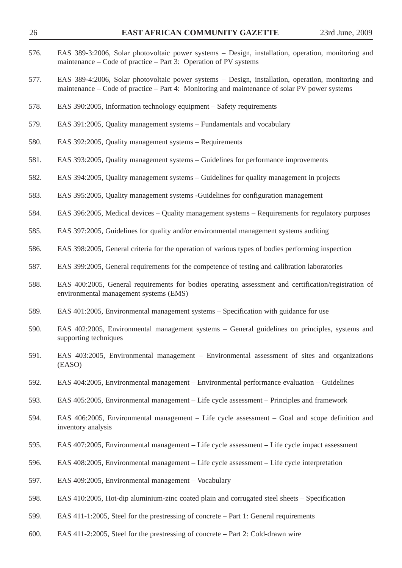| 26   | <b>EAST AFRICAN COMMUNITY GAZETTE</b>                                                                                                                                                               | 23rd June, 2009 |
|------|-----------------------------------------------------------------------------------------------------------------------------------------------------------------------------------------------------|-----------------|
| 576. | EAS 389-3:2006, Solar photovoltaic power systems – Design, installation, operation, monitoring and<br>maintenance – Code of practice – Part 3: Operation of PV systems                              |                 |
| 577. | EAS 389-4:2006, Solar photovoltaic power systems – Design, installation, operation, monitoring and<br>maintenance – Code of practice – Part 4: Monitoring and maintenance of solar PV power systems |                 |
| 578. | EAS 390:2005, Information technology equipment – Safety requirements                                                                                                                                |                 |
| 579. | EAS 391:2005, Quality management systems – Fundamentals and vocabulary                                                                                                                              |                 |
| 580. | EAS 392:2005, Quality management systems - Requirements                                                                                                                                             |                 |
| 581. | EAS 393:2005, Quality management systems – Guidelines for performance improvements                                                                                                                  |                 |
| 582. | EAS 394:2005, Quality management systems – Guidelines for quality management in projects                                                                                                            |                 |
| 583. | EAS 395:2005, Quality management systems -Guidelines for configuration management                                                                                                                   |                 |
| 584. | EAS 396:2005, Medical devices – Quality management systems – Requirements for regulatory purposes                                                                                                   |                 |
| 585. | EAS 397:2005, Guidelines for quality and/or environmental management systems auditing                                                                                                               |                 |
| 586. | EAS 398:2005, General criteria for the operation of various types of bodies performing inspection                                                                                                   |                 |
| 587. | EAS 399:2005, General requirements for the competence of testing and calibration laboratories                                                                                                       |                 |
| 588. | EAS 400:2005, General requirements for bodies operating assessment and certification/registration of<br>environmental management systems (EMS)                                                      |                 |
| 589. | EAS 401:2005, Environmental management systems – Specification with guidance for use                                                                                                                |                 |
| 590. | EAS 402:2005, Environmental management systems - General guidelines on principles, systems and<br>supporting techniques                                                                             |                 |
| 591. | EAS 403:2005, Environmental management – Environmental assessment of sites and organizations<br>(EASO)                                                                                              |                 |
| 592. | EAS 404:2005, Environmental management – Environmental performance evaluation – Guidelines                                                                                                          |                 |
| 593. | EAS 405:2005, Environmental management – Life cycle assessment – Principles and framework                                                                                                           |                 |
| 594. | EAS 406:2005, Environmental management - Life cycle assessment - Goal and scope definition and<br>inventory analysis                                                                                |                 |
| 595. | EAS 407:2005, Environmental management – Life cycle assessment – Life cycle impact assessment                                                                                                       |                 |
| 596. | EAS 408:2005, Environmental management – Life cycle assessment – Life cycle interpretation                                                                                                          |                 |
| 597. | EAS 409:2005, Environmental management – Vocabulary                                                                                                                                                 |                 |
| 598. | EAS 410:2005, Hot-dip aluminium-zinc coated plain and corrugated steel sheets – Specification                                                                                                       |                 |
| 599. | EAS 411-1:2005, Steel for the prestressing of concrete – Part 1: General requirements                                                                                                               |                 |
| 600. | EAS 411-2:2005, Steel for the prestressing of concrete – Part 2: Cold-drawn wire                                                                                                                    |                 |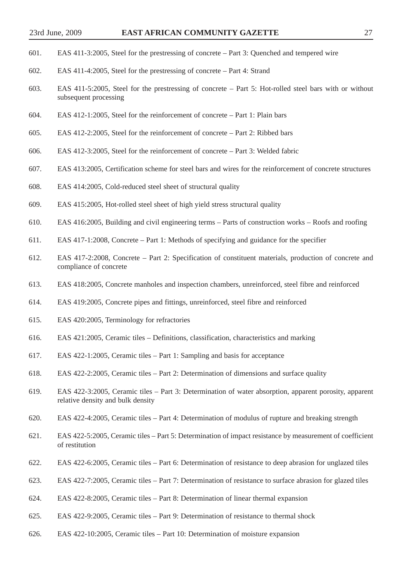- 601. EAS 411-3:2005, Steel for the prestressing of concrete Part 3: Quenched and tempered wire
- 602. EAS 411-4:2005, Steel for the prestressing of concrete Part 4: Strand
- 603. EAS 411-5:2005, Steel for the prestressing of concrete Part 5: Hot-rolled steel bars with or without subsequent processing
- 604. EAS 412-1:2005, Steel for the reinforcement of concrete Part 1: Plain bars
- 605. EAS 412-2:2005, Steel for the reinforcement of concrete Part 2: Ribbed bars
- 606. EAS 412-3:2005, Steel for the reinforcement of concrete Part 3: Welded fabric
- 607. EAS 413:2005, Certification scheme for steel bars and wires for the reinforcement of concrete structures
- 608. EAS 414:2005, Cold-reduced steel sheet of structural quality
- 609. EAS 415:2005, Hot-rolled steel sheet of high yield stress structural quality
- 610. EAS 416:2005, Building and civil engineering terms Parts of construction works Roofs and roofing
- 611. EAS 417-1:2008, Concrete Part 1: Methods of specifying and guidance for the specifier
- 612. EAS 417-2:2008, Concrete Part 2: Specification of constituent materials, production of concrete and compliance of concrete
- 613. EAS 418:2005, Concrete manholes and inspection chambers, unreinforced, steel fibre and reinforced
- 614. EAS 419:2005, Concrete pipes and fittings, unreinforced, steel fibre and reinforced
- 615. EAS 420:2005, Terminology for refractories
- 616. EAS 421:2005, Ceramic tiles Definitions, classification, characteristics and marking
- 617. EAS 422-1:2005, Ceramic tiles Part 1: Sampling and basis for acceptance
- 618. EAS 422-2:2005, Ceramic tiles Part 2: Determination of dimensions and surface quality
- 619. EAS 422-3:2005, Ceramic tiles Part 3: Determination of water absorption, apparent porosity, apparent relative density and bulk density
- 620. EAS 422-4:2005, Ceramic tiles Part 4: Determination of modulus of rupture and breaking strength
- 621. EAS 422-5:2005, Ceramic tiles Part 5: Determination of impact resistance by measurement of coefficient of restitution
- 622. EAS 422-6:2005, Ceramic tiles Part 6: Determination of resistance to deep abrasion for unglazed tiles
- 623. EAS 422-7:2005, Ceramic tiles Part 7: Determination of resistance to surface abrasion for glazed tiles
- 624. EAS 422-8:2005, Ceramic tiles Part 8: Determination of linear thermal expansion
- 625. EAS 422-9:2005, Ceramic tiles Part 9: Determination of resistance to thermal shock
- 626. EAS 422-10:2005, Ceramic tiles Part 10: Determination of moisture expansion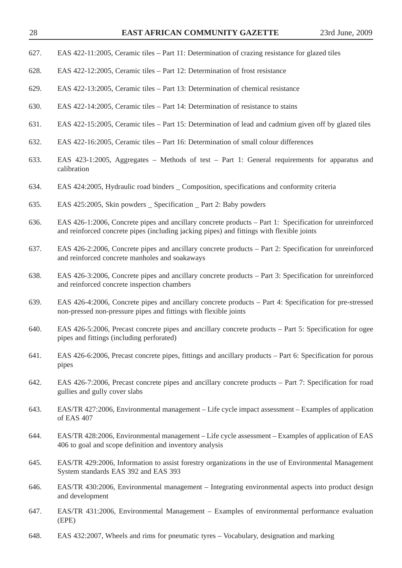- 627. EAS 422-11:2005, Ceramic tiles Part 11: Determination of crazing resistance for glazed tiles
- 628. EAS 422-12:2005, Ceramic tiles Part 12: Determination of frost resistance
- 629. EAS 422-13:2005, Ceramic tiles Part 13: Determination of chemical resistance
- 630. EAS 422-14:2005, Ceramic tiles Part 14: Determination of resistance to stains
- 631. EAS 422-15:2005, Ceramic tiles Part 15: Determination of lead and cadmium given off by glazed tiles
- 632. EAS 422-16:2005, Ceramic tiles Part 16: Determination of small colour differences
- 633. EAS 423-1:2005, Aggregates Methods of test Part 1: General requirements for apparatus and calibration
- 634. EAS 424:2005, Hydraulic road binders \_ Composition, specifications and conformity criteria
- 635. EAS 425:2005, Skin powders \_ Specification \_ Part 2: Baby powders
- 636. EAS 426-1:2006, Concrete pipes and ancillary concrete products Part 1: Specification for unreinforced and reinforced concrete pipes (including jacking pipes) and fittings with flexible joints
- 637. EAS 426-2:2006, Concrete pipes and ancillary concrete products Part 2: Specification for unreinforced and reinforced concrete manholes and soakaways
- 638. EAS 426-3:2006, Concrete pipes and ancillary concrete products Part 3: Specification for unreinforced and reinforced concrete inspection chambers
- 639. EAS 426-4:2006, Concrete pipes and ancillary concrete products Part 4: Specification for pre-stressed non-pressed non-pressure pipes and fittings with flexible joints
- 640. EAS 426-5:2006, Precast concrete pipes and ancillary concrete products Part 5: Specification for ogee pipes and fittings (including perforated)
- 641. EAS 426-6:2006, Precast concrete pipes, fittings and ancillary products Part 6: Specification for porous pipes
- 642. EAS 426-7:2006, Precast concrete pipes and ancillary concrete products Part 7: Specification for road gullies and gully cover slabs
- 643. EAS/TR 427:2006, Environmental management Life cycle impact assessment Examples of application of EAS 407
- 644. EAS/TR 428:2006, Environmental management Life cycle assessment Examples of application of EAS 406 to goal and scope definition and inventory analysis
- 645. EAS/TR 429:2006, Information to assist forestry organizations in the use of Environmental Management System standards EAS 392 and EAS 393
- 646. EAS/TR 430:2006, Environmental management Integrating environmental aspects into product design and development
- 647. EAS/TR 431:2006, Environmental Management Examples of environmental performance evaluation (EPE)
- 648. EAS 432:2007, Wheels and rims for pneumatic tyres Vocabulary, designation and marking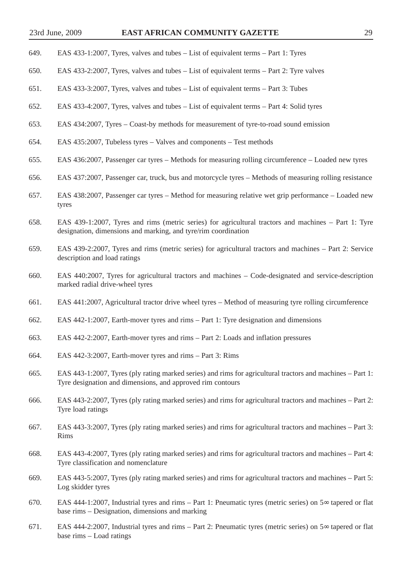- 649. EAS 433-1:2007, Tyres, valves and tubes List of equivalent terms Part 1: Tyres
- 650. EAS 433-2:2007, Tyres, valves and tubes List of equivalent terms Part 2: Tyre valves
- 651. EAS 433-3:2007, Tyres, valves and tubes List of equivalent terms Part 3: Tubes
- 652. EAS 433-4:2007, Tyres, valves and tubes List of equivalent terms Part 4: Solid tyres
- 653. EAS 434:2007, Tyres Coast-by methods for measurement of tyre-to-road sound emission
- 654. EAS 435:2007, Tubeless tyres Valves and components Test methods
- 655. EAS 436:2007, Passenger car tyres Methods for measuring rolling circumference Loaded new tyres
- 656. EAS 437:2007, Passenger car, truck, bus and motorcycle tyres Methods of measuring rolling resistance
- 657. EAS 438:2007, Passenger car tyres Method for measuring relative wet grip performance Loaded new tyres
- 658. EAS 439-1:2007, Tyres and rims (metric series) for agricultural tractors and machines Part 1: Tyre designation, dimensions and marking, and tyre/rim coordination
- 659. EAS 439-2:2007, Tyres and rims (metric series) for agricultural tractors and machines Part 2: Service description and load ratings
- 660. EAS 440:2007, Tyres for agricultural tractors and machines Code-designated and service-description marked radial drive-wheel tyres
- 661. EAS 441:2007, Agricultural tractor drive wheel tyres Method of measuring tyre rolling circumference
- 662. EAS 442-1:2007, Earth-mover tyres and rims Part 1: Tyre designation and dimensions
- 663. EAS 442-2:2007, Earth-mover tyres and rims Part 2: Loads and inflation pressures
- 664. EAS 442-3:2007, Earth-mover tyres and rims Part 3: Rims
- 665. EAS 443-1:2007, Tyres (ply rating marked series) and rims for agricultural tractors and machines Part 1: Tyre designation and dimensions, and approved rim contours
- 666. EAS 443-2:2007, Tyres (ply rating marked series) and rims for agricultural tractors and machines Part 2: Tyre load ratings
- 667. EAS 443-3:2007, Tyres (ply rating marked series) and rims for agricultural tractors and machines Part 3: Rims
- 668. EAS 443-4:2007, Tyres (ply rating marked series) and rims for agricultural tractors and machines Part 4: Tyre classification and nomenclature
- 669. EAS 443-5:2007, Tyres (ply rating marked series) and rims for agricultural tractors and machines Part 5: Log skidder tyres
- 670. EAS 444-1:2007, Industrial tyres and rims Part 1: Pneumatic tyres (metric series) on 5∞ tapered or flat base rims – Designation, dimensions and marking
- 671. EAS 444-2:2007, Industrial tyres and rims Part 2: Pneumatic tyres (metric series) on 5∞ tapered or flat base rims – Load ratings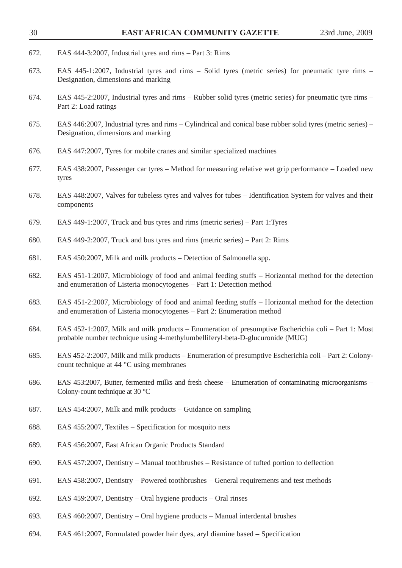| 30   | EAST AFRICAN COMMUNITY GAZETTE                                                                                                                                                       | 23rd June, 2009 |
|------|--------------------------------------------------------------------------------------------------------------------------------------------------------------------------------------|-----------------|
| 672. | EAS 444-3:2007, Industrial tyres and rims – Part 3: Rims                                                                                                                             |                 |
| 673. | EAS 445-1:2007, Industrial tyres and rims – Solid tyres (metric series) for pneumatic tyre rims –<br>Designation, dimensions and marking                                             |                 |
| 674. | EAS 445-2:2007, Industrial tyres and rims – Rubber solid tyres (metric series) for pneumatic tyre rims –<br>Part 2: Load ratings                                                     |                 |
| 675. | EAS 446:2007, Industrial tyres and rims – Cylindrical and conical base rubber solid tyres (metric series) –<br>Designation, dimensions and marking                                   |                 |
| 676. | EAS 447:2007, Tyres for mobile cranes and similar specialized machines                                                                                                               |                 |
| 677. | EAS 438:2007, Passenger car tyres – Method for measuring relative wet grip performance – Loaded new<br>tyres                                                                         |                 |
| 678. | EAS 448:2007, Valves for tubeless tyres and valves for tubes – Identification System for valves and their<br>components                                                              |                 |
| 679. | EAS 449-1:2007, Truck and bus tyres and rims (metric series) – Part 1:Tyres                                                                                                          |                 |
| 680. | EAS 449-2:2007, Truck and bus tyres and rims (metric series) – Part 2: Rims                                                                                                          |                 |
| 681. | EAS 450:2007, Milk and milk products – Detection of Salmonella spp.                                                                                                                  |                 |
| 682. | EAS 451-1:2007, Microbiology of food and animal feeding stuffs – Horizontal method for the detection<br>and enumeration of Listeria monocytogenes - Part 1: Detection method         |                 |
| 683. | EAS 451-2:2007, Microbiology of food and animal feeding stuffs – Horizontal method for the detection<br>and enumeration of Listeria monocytogenes - Part 2: Enumeration method       |                 |
| 684. | EAS 452-1:2007, Milk and milk products – Enumeration of presumptive Escherichia coli – Part 1: Most<br>probable number technique using 4-methylumbelliferyl-beta-D-glucuronide (MUG) |                 |
| 685. | EAS 452-2:2007, Milk and milk products – Enumeration of presumptive Escherichia coli – Part 2: Colony-<br>count technique at 44 °C using membranes                                   |                 |
| 686. | EAS 453:2007, Butter, fermented milks and fresh cheese – Enumeration of contaminating microorganisms –<br>Colony-count technique at 30 $\degree$ C                                   |                 |
| 687. | EAS 454:2007, Milk and milk products – Guidance on sampling                                                                                                                          |                 |
| 688. | EAS 455:2007, Textiles – Specification for mosquito nets                                                                                                                             |                 |
| 689. | EAS 456:2007, East African Organic Products Standard                                                                                                                                 |                 |
| 690. | EAS 457:2007, Dentistry - Manual toothbrushes - Resistance of tufted portion to deflection                                                                                           |                 |
| 691. | EAS 458:2007, Dentistry – Powered toothbrushes – General requirements and test methods                                                                                               |                 |
| 692. | EAS 459:2007, Dentistry – Oral hygiene products – Oral rinses                                                                                                                        |                 |
| 693. | EAS 460:2007, Dentistry – Oral hygiene products – Manual interdental brushes                                                                                                         |                 |
| 694. | EAS 461:2007, Formulated powder hair dyes, aryl diamine based – Specification                                                                                                        |                 |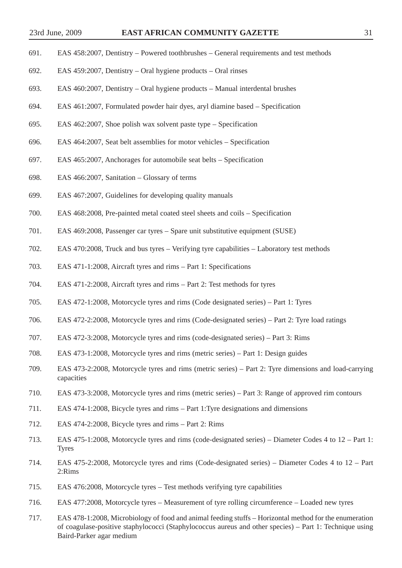- 691. EAS 458:2007, Dentistry Powered toothbrushes General requirements and test methods
- 692. EAS 459:2007, Dentistry Oral hygiene products Oral rinses
- 693. EAS 460:2007, Dentistry Oral hygiene products Manual interdental brushes
- 694. EAS 461:2007, Formulated powder hair dyes, aryl diamine based Specification
- 695. EAS 462:2007, Shoe polish wax solvent paste type Specification
- 696. EAS 464:2007, Seat belt assemblies for motor vehicles Specification
- 697. EAS 465:2007, Anchorages for automobile seat belts Specification
- 698. EAS 466:2007, Sanitation Glossary of terms
- 699. EAS 467:2007, Guidelines for developing quality manuals
- 700. EAS 468:2008, Pre-painted metal coated steel sheets and coils Specification
- 701. EAS 469:2008, Passenger car tyres Spare unit substitutive equipment (SUSE)
- 702. EAS 470:2008, Truck and bus tyres Verifying tyre capabilities Laboratory test methods
- 703. EAS 471-1:2008, Aircraft tyres and rims Part 1: Specifications
- 704. EAS 471-2:2008, Aircraft tyres and rims Part 2: Test methods for tyres
- 705. EAS 472-1:2008, Motorcycle tyres and rims (Code designated series) Part 1: Tyres
- 706. EAS 472-2:2008, Motorcycle tyres and rims (Code-designated series) Part 2: Tyre load ratings
- 707. EAS 472-3:2008, Motorcycle tyres and rims (code-designated series) Part 3: Rims
- 708. EAS 473-1:2008, Motorcycle tyres and rims (metric series) Part 1: Design guides
- 709. EAS 473-2:2008, Motorcycle tyres and rims (metric series) Part 2: Tyre dimensions and load-carrying capacities
- 710. EAS 473-3:2008, Motorcycle tyres and rims (metric series) Part 3: Range of approved rim contours
- 711. EAS 474-1:2008, Bicycle tyres and rims Part 1:Tyre designations and dimensions
- 712. EAS 474-2:2008, Bicycle tyres and rims Part 2: Rims
- 713. EAS 475-1:2008, Motorcycle tyres and rims (code-designated series) Diameter Codes 4 to 12 Part 1: Tyres
- 714. EAS 475-2:2008, Motorcycle tyres and rims (Code-designated series) Diameter Codes 4 to 12 Part 2:Rims
- 715. EAS 476:2008, Motorcycle tyres Test methods verifying tyre capabilities
- 716. EAS 477:2008, Motorcycle tyres Measurement of tyre rolling circumference Loaded new tyres
- 717. EAS 478-1:2008, Microbiology of food and animal feeding stuffs Horizontal method for the enumeration of coagulase-positive staphylococci (Staphylococcus aureus and other species) – Part 1: Technique using Baird-Parker agar medium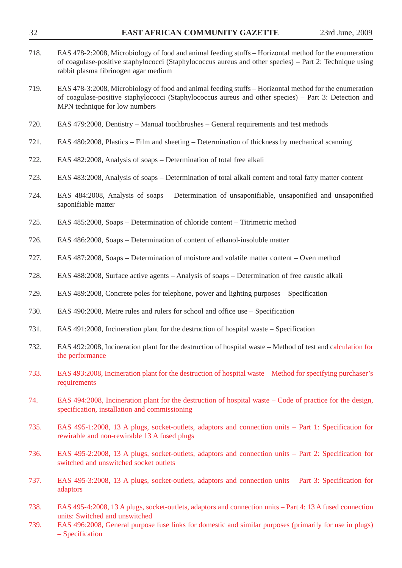| 718. | EAS 478-2:2008, Microbiology of food and animal feeding stuffs – Horizontal method for the enumeration<br>of coagulase-positive staphylococci (Staphylococcus aureus and other species) – Part 2: Technique using<br>rabbit plasma fibrinogen agar medium |
|------|-----------------------------------------------------------------------------------------------------------------------------------------------------------------------------------------------------------------------------------------------------------|
| 719. | EAS 478-3:2008, Microbiology of food and animal feeding stuffs – Horizontal method for the enumeration<br>of coagulase-positive staphylococci (Staphylococcus aureus and other species) – Part 3: Detection and<br>MPN technique for low numbers          |
| 720. | EAS 479:2008, Dentistry – Manual toothbrushes – General requirements and test methods                                                                                                                                                                     |
| 721. | EAS 480:2008, Plastics – Film and sheeting – Determination of thickness by mechanical scanning                                                                                                                                                            |
| 722. | EAS 482:2008, Analysis of soaps – Determination of total free alkali                                                                                                                                                                                      |
| 723. | EAS 483:2008, Analysis of soaps – Determination of total alkali content and total fatty matter content                                                                                                                                                    |
| 724. | EAS 484:2008, Analysis of soaps – Determination of unsaponifiable, unsaponified and unsaponified<br>saponifiable matter                                                                                                                                   |
| 725. | EAS 485:2008, Soaps – Determination of chloride content – Titrimetric method                                                                                                                                                                              |
| 726. | EAS 486:2008, Soaps – Determination of content of ethanol-insoluble matter                                                                                                                                                                                |
| 727. | EAS 487:2008, Soaps - Determination of moisture and volatile matter content - Oven method                                                                                                                                                                 |
| 728. | EAS 488:2008, Surface active agents – Analysis of soaps – Determination of free caustic alkali                                                                                                                                                            |
| 729. | EAS 489:2008, Concrete poles for telephone, power and lighting purposes – Specification                                                                                                                                                                   |
| 730. | EAS 490:2008, Metre rules and rulers for school and office use – Specification                                                                                                                                                                            |
| 731. | EAS 491:2008, Incineration plant for the destruction of hospital waste – Specification                                                                                                                                                                    |
| 732. | EAS 492:2008, Incineration plant for the destruction of hospital waste – Method of test and calculation for<br>the performance                                                                                                                            |
| 733. | EAS 493:2008, Incineration plant for the destruction of hospital waste – Method for specifying purchaser's<br>requirements                                                                                                                                |
| 74.  | EAS 494:2008, Incineration plant for the destruction of hospital waste – Code of practice for the design,<br>specification, installation and commissioning                                                                                                |
| 735. | EAS 495-1:2008, 13 A plugs, socket-outlets, adaptors and connection units – Part 1: Specification for<br>rewirable and non-rewirable 13 A fused plugs                                                                                                     |
| 736. | EAS 495-2:2008, 13 A plugs, socket-outlets, adaptors and connection units – Part 2: Specification for<br>switched and unswitched socket outlets                                                                                                           |
| 737. | EAS 495-3:2008, 13 A plugs, socket-outlets, adaptors and connection units – Part 3: Specification for<br>adaptors                                                                                                                                         |
| 738. | EAS 495-4:2008, 13 A plugs, socket-outlets, adaptors and connection units – Part 4: 13 A fused connection<br>units: Switched and unswitched                                                                                                               |
| 739. | EAS 496:2008, General purpose fuse links for domestic and similar purposes (primarily for use in plugs)<br>$-$ Specification                                                                                                                              |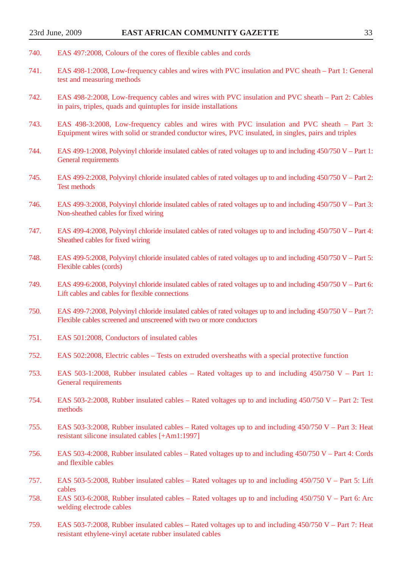- 740. EAS 497:2008, Colours of the cores of flexible cables and cords
- 741. EAS 498-1:2008, Low-frequency cables and wires with PVC insulation and PVC sheath Part 1: General test and measuring methods
- 742. EAS 498-2:2008, Low-frequency cables and wires with PVC insulation and PVC sheath Part 2: Cables in pairs, triples, quads and quintuples for inside installations
- 743. EAS 498-3:2008, Low-frequency cables and wires with PVC insulation and PVC sheath Part 3: Equipment wires with solid or stranded conductor wires, PVC insulated, in singles, pairs and triples
- 744. EAS 499-1:2008, Polyvinyl chloride insulated cables of rated voltages up to and including 450/750 V Part 1: General requirements
- 745. EAS 499-2:2008, Polyvinyl chloride insulated cables of rated voltages up to and including 450/750 V Part 2: Test methods
- 746. EAS 499-3:2008, Polyvinyl chloride insulated cables of rated voltages up to and including 450/750 V Part 3: Non-sheathed cables for fixed wiring
- 747. EAS 499-4:2008, Polyvinyl chloride insulated cables of rated voltages up to and including 450/750 V Part 4: Sheathed cables for fixed wiring
- 748. EAS 499-5:2008, Polyvinyl chloride insulated cables of rated voltages up to and including 450/750 V Part 5: Flexible cables (cords)
- 749. EAS 499-6:2008, Polyvinyl chloride insulated cables of rated voltages up to and including 450/750 V Part 6: Lift cables and cables for flexible connections
- 750. EAS 499-7:2008, Polyvinyl chloride insulated cables of rated voltages up to and including 450/750 V Part 7: Flexible cables screened and unscreened with two or more conductors
- 751. EAS 501:2008, Conductors of insulated cables
- 752. EAS 502:2008, Electric cables Tests on extruded oversheaths with a special protective function
- 753. EAS 503-1:2008, Rubber insulated cables Rated voltages up to and including 450/750 V Part 1: General requirements
- 754. EAS 503-2:2008, Rubber insulated cables Rated voltages up to and including 450/750 V Part 2: Test methods
- 755. EAS 503-3:2008, Rubber insulated cables Rated voltages up to and including 450/750 V Part 3: Heat resistant silicone insulated cables [+Am1:1997]
- 756. EAS 503-4:2008, Rubber insulated cables Rated voltages up to and including 450/750 V Part 4: Cords and flexible cables
- 757. EAS 503-5:2008, Rubber insulated cables Rated voltages up to and including 450/750 V Part 5: Lift cables
- 758. EAS 503-6:2008, Rubber insulated cables Rated voltages up to and including 450/750 V Part 6: Arc welding electrode cables
- 759. EAS 503-7:2008, Rubber insulated cables Rated voltages up to and including 450/750 V Part 7: Heat resistant ethylene-vinyl acetate rubber insulated cables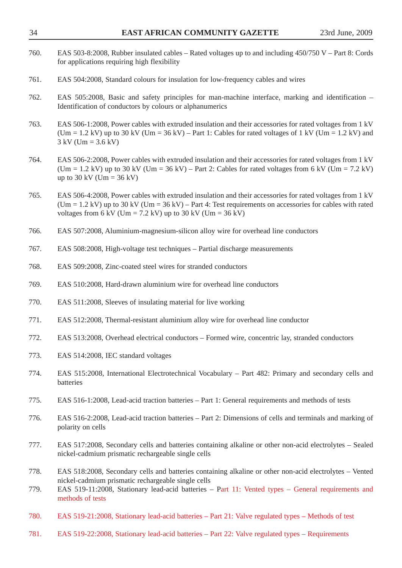| 760.         | EAS 503-8:2008, Rubber insulated cables – Rated voltages up to and including 450/750 V – Part 8: Cords<br>for applications requiring high flexibility                                                                                                                                                  |
|--------------|--------------------------------------------------------------------------------------------------------------------------------------------------------------------------------------------------------------------------------------------------------------------------------------------------------|
| 761.         | EAS 504:2008, Standard colours for insulation for low-frequency cables and wires                                                                                                                                                                                                                       |
| 762.         | EAS 505:2008, Basic and safety principles for man-machine interface, marking and identification –<br>Identification of conductors by colours or alphanumerics                                                                                                                                          |
| 763.         | EAS 506-1:2008, Power cables with extruded insulation and their accessories for rated voltages from 1 kV<br>(Um = 1.2 kV) up to 30 kV (Um = 36 kV) – Part 1: Cables for rated voltages of 1 kV (Um = 1.2 kV) and<br>$3 \text{ kV}$ (Um = 3.6 kV)                                                       |
| 764.         | EAS 506-2:2008, Power cables with extruded insulation and their accessories for rated voltages from 1 kV<br>(Um = 1.2 kV) up to 30 kV (Um = 36 kV) – Part 2: Cables for rated voltages from 6 kV (Um = 7.2 kV)<br>up to 30 kV (Um = 36 kV)                                                             |
| 765.         | EAS 506-4:2008, Power cables with extruded insulation and their accessories for rated voltages from 1 kV<br>$(Um = 1.2 \text{ kV})$ up to 30 kV ( $Um = 36 \text{ kV}$ ) – Part 4: Test requirements on accessories for cables with rated<br>voltages from 6 kV (Um = 7.2 kV) up to 30 kV (Um = 36 kV) |
| 766.         | EAS 507:2008, Aluminium-magnesium-silicon alloy wire for overhead line conductors                                                                                                                                                                                                                      |
| 767.         | EAS 508:2008, High-voltage test techniques – Partial discharge measurements                                                                                                                                                                                                                            |
| 768.         | EAS 509:2008, Zinc-coated steel wires for stranded conductors                                                                                                                                                                                                                                          |
| 769.         | EAS 510:2008, Hard-drawn aluminium wire for overhead line conductors                                                                                                                                                                                                                                   |
| 770.         | EAS 511:2008, Sleeves of insulating material for live working                                                                                                                                                                                                                                          |
| 771.         | EAS 512:2008, Thermal-resistant aluminium alloy wire for overhead line conductor                                                                                                                                                                                                                       |
| 772.         | EAS 513:2008, Overhead electrical conductors – Formed wire, concentric lay, stranded conductors                                                                                                                                                                                                        |
| 773.         | EAS 514:2008, IEC standard voltages                                                                                                                                                                                                                                                                    |
| 774.         | EAS 515:2008, International Electrotechnical Vocabulary - Part 482: Primary and secondary cells and<br>batteries                                                                                                                                                                                       |
| 775.         | EAS 516-1:2008, Lead-acid traction batteries – Part 1: General requirements and methods of tests                                                                                                                                                                                                       |
| 776.         | EAS 516-2:2008, Lead-acid traction batteries – Part 2: Dimensions of cells and terminals and marking of<br>polarity on cells                                                                                                                                                                           |
| 777.         | EAS 517:2008, Secondary cells and batteries containing alkaline or other non-acid electrolytes - Sealed<br>nickel-cadmium prismatic rechargeable single cells                                                                                                                                          |
| 778.<br>779. | EAS 518:2008, Secondary cells and batteries containing alkaline or other non-acid electrolytes – Vented<br>nickel-cadmium prismatic rechargeable single cells<br>EAS 519-11:2008, Stationary lead-acid batteries – Part 11: Vented types – General requirements and<br>methods of tests                |
| 780.         | EAS 519-21:2008, Stationary lead-acid batteries - Part 21: Valve regulated types - Methods of test                                                                                                                                                                                                     |

781. EAS 519-22:2008, Stationary lead-acid batteries – Part 22: Valve regulated types – Requirements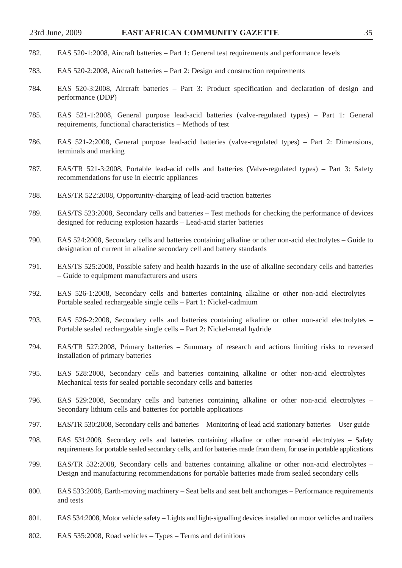- 782. EAS 520-1:2008, Aircraft batteries Part 1: General test requirements and performance levels
- 783. EAS 520-2:2008, Aircraft batteries Part 2: Design and construction requirements
- 784. EAS 520-3:2008, Aircraft batteries Part 3: Product specification and declaration of design and performance (DDP)
- 785. EAS 521-1:2008, General purpose lead-acid batteries (valve-regulated types) Part 1: General requirements, functional characteristics – Methods of test
- 786. EAS 521-2:2008, General purpose lead-acid batteries (valve-regulated types) Part 2: Dimensions, terminals and marking
- 787. EAS/TR 521-3:2008, Portable lead-acid cells and batteries (Valve-regulated types) Part 3: Safety recommendations for use in electric appliances
- 788. EAS/TR 522:2008, Opportunity-charging of lead-acid traction batteries
- 789. EAS/TS 523:2008, Secondary cells and batteries Test methods for checking the performance of devices designed for reducing explosion hazards – Lead-acid starter batteries
- 790. EAS 524:2008, Secondary cells and batteries containing alkaline or other non-acid electrolytes Guide to designation of current in alkaline secondary cell and battery standards
- 791. EAS/TS 525:2008, Possible safety and health hazards in the use of alkaline secondary cells and batteries – Guide to equipment manufacturers and users
- 792. EAS 526-1:2008, Secondary cells and batteries containing alkaline or other non-acid electrolytes Portable sealed rechargeable single cells – Part 1: Nickel-cadmium
- 793. EAS 526-2:2008, Secondary cells and batteries containing alkaline or other non-acid electrolytes Portable sealed rechargeable single cells – Part 2: Nickel-metal hydride
- 794. EAS/TR 527:2008, Primary batteries Summary of research and actions limiting risks to reversed installation of primary batteries
- 795. EAS 528:2008, Secondary cells and batteries containing alkaline or other non-acid electrolytes Mechanical tests for sealed portable secondary cells and batteries
- 796. EAS 529:2008, Secondary cells and batteries containing alkaline or other non-acid electrolytes Secondary lithium cells and batteries for portable applications
- 797. EAS/TR 530:2008, Secondary cells and batteries Monitoring of lead acid stationary batteries User guide
- 798. EAS 531:2008, Secondary cells and batteries containing alkaline or other non-acid electrolytes Safety requirements for portable sealed secondary cells, and for batteries made from them, for use in portable applications
- 799. EAS/TR 532:2008, Secondary cells and batteries containing alkaline or other non-acid electrolytes Design and manufacturing recommendations for portable batteries made from sealed secondary cells
- 800. EAS 533:2008, Earth-moving machinery Seat belts and seat belt anchorages Performance requirements and tests
- 801. EAS 534:2008, Motor vehicle safety Lights and light-signalling devices installed on motor vehicles and trailers
- 802. EAS 535:2008, Road vehicles Types Terms and definitions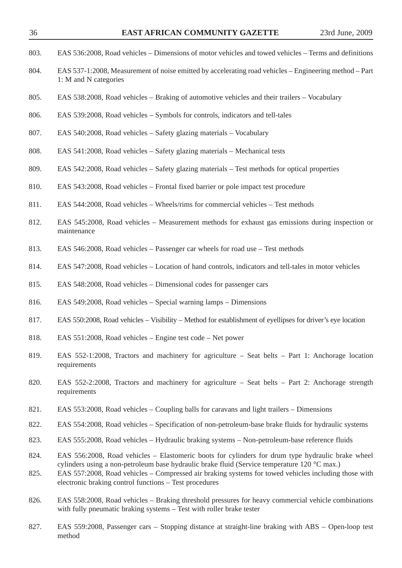| 803. | EAS 536:2008, Road vehicles – Dimensions of motor vehicles and towed vehicles – Terms and definitions                                                                                             |
|------|---------------------------------------------------------------------------------------------------------------------------------------------------------------------------------------------------|
| 804. | EAS 537-1:2008, Measurement of noise emitted by accelerating road vehicles – Engineering method – Part<br>1: M and N categories                                                                   |
| 805. | EAS 538:2008, Road vehicles – Braking of automotive vehicles and their trailers – Vocabulary                                                                                                      |
| 806. | EAS 539:2008, Road vehicles – Symbols for controls, indicators and tell-tales                                                                                                                     |
| 807. | EAS 540:2008, Road vehicles – Safety glazing materials – Vocabulary                                                                                                                               |
| 808. | EAS 541:2008, Road vehicles – Safety glazing materials – Mechanical tests                                                                                                                         |
| 809. | EAS 542:2008, Road vehicles – Safety glazing materials – Test methods for optical properties                                                                                                      |
| 810. | EAS 543:2008, Road vehicles – Frontal fixed barrier or pole impact test procedure                                                                                                                 |
| 811. | EAS 544:2008, Road vehicles - Wheels/rims for commercial vehicles - Test methods                                                                                                                  |
| 812. | EAS 545:2008, Road vehicles – Measurement methods for exhaust gas emissions during inspection or<br>maintenance                                                                                   |
| 813. | EAS 546:2008, Road vehicles – Passenger car wheels for road use – Test methods                                                                                                                    |
| 814. | EAS 547:2008, Road vehicles – Location of hand controls, indicators and tell-tales in motor vehicles                                                                                              |
| 815. | EAS 548:2008, Road vehicles – Dimensional codes for passenger cars                                                                                                                                |
| 816. | EAS 549:2008, Road vehicles – Special warning lamps – Dimensions                                                                                                                                  |
| 817. | EAS 550:2008, Road vehicles – Visibility – Method for establishment of eyellipses for driver's eye location                                                                                       |
| 818. | EAS 551:2008, Road vehicles – Engine test code – Net power                                                                                                                                        |
| 819. | EAS $552-1:2008$ , Tractors and machinery for agriculture – Seat belts – Part 1: Anchorage location<br>requirements                                                                               |
| 820. | EAS 552-2:2008, Tractors and machinery for agriculture – Seat belts – Part 2: Anchorage strength<br>requirements                                                                                  |
| 821. | EAS 553:2008, Road vehicles – Coupling balls for caravans and light trailers – Dimensions                                                                                                         |
| 822. | EAS 554:2008, Road vehicles - Specification of non-petroleum-base brake fluids for hydraulic systems                                                                                              |
| 823. | EAS 555:2008, Road vehicles – Hydraulic braking systems – Non-petroleum-base reference fluids                                                                                                     |
| 824. | EAS 556:2008, Road vehicles – Elastomeric boots for cylinders for drum type hydraulic brake wheel<br>cylinders using a non-petroleum base hydraulic brake fluid (Service temperature 120 °C max.) |
| 825. | EAS 557:2008, Road vehicles - Compressed air braking systems for towed vehicles including those with<br>electronic braking control functions – Test procedures                                    |
| 826. | EAS 558:2008, Road vehicles – Braking threshold pressures for heavy commercial vehicle combinations<br>with fully pneumatic braking systems - Test with roller brake tester                       |
|      |                                                                                                                                                                                                   |

<sup>827.</sup> EAS 559:2008, Passenger cars – Stopping distance at straight-line braking with ABS – Open-loop test method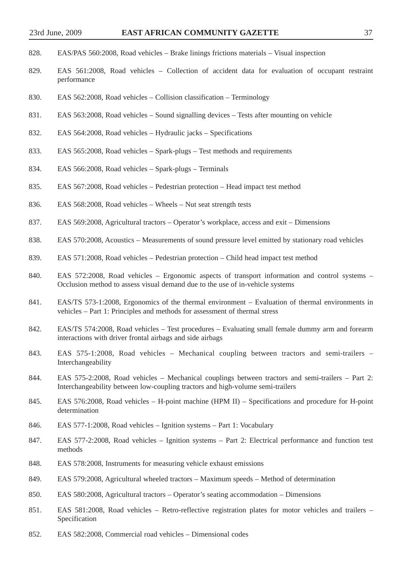- 828. EAS/PAS 560:2008, Road vehicles Brake linings frictions materials Visual inspection
- 829. EAS 561:2008, Road vehicles Collection of accident data for evaluation of occupant restraint performance
- 830. EAS 562:2008, Road vehicles Collision classification Terminology
- 831. EAS 563:2008, Road vehicles Sound signalling devices Tests after mounting on vehicle
- 832. EAS 564:2008, Road vehicles Hydraulic jacks Specifications
- 833. EAS 565:2008, Road vehicles Spark-plugs Test methods and requirements
- 834. EAS 566:2008, Road vehicles Spark-plugs Terminals
- 835. EAS 567:2008, Road vehicles Pedestrian protection Head impact test method
- 836. EAS 568:2008, Road vehicles Wheels Nut seat strength tests
- 837. EAS 569:2008, Agricultural tractors Operator's workplace, access and exit Dimensions
- 838. EAS 570:2008, Acoustics Measurements of sound pressure level emitted by stationary road vehicles
- 839. EAS 571:2008, Road vehicles Pedestrian protection Child head impact test method
- 840. EAS 572:2008, Road vehicles Ergonomic aspects of transport information and control systems Occlusion method to assess visual demand due to the use of in-vehicle systems
- 841. EAS/TS 573-1:2008, Ergonomics of the thermal environment Evaluation of thermal environments in vehicles – Part 1: Principles and methods for assessment of thermal stress
- 842. EAS/TS 574:2008, Road vehicles Test procedures Evaluating small female dummy arm and forearm interactions with driver frontal airbags and side airbags
- 843. EAS 575-1:2008, Road vehicles Mechanical coupling between tractors and semi-trailers Interchangeability
- 844. EAS 575-2:2008, Road vehicles Mechanical couplings between tractors and semi-trailers Part 2: Interchangeability between low-coupling tractors and high-volume semi-trailers
- 845. EAS 576:2008, Road vehicles H-point machine (HPM II) Specifications and procedure for H-point determination
- 846. EAS 577-1:2008, Road vehicles Ignition systems Part 1: Vocabulary
- 847. EAS 577-2:2008, Road vehicles Ignition systems Part 2: Electrical performance and function test methods
- 848. EAS 578:2008, Instruments for measuring vehicle exhaust emissions
- 849. EAS 579:2008, Agricultural wheeled tractors Maximum speeds Method of determination
- 850. EAS 580:2008, Agricultural tractors Operator's seating accommodation Dimensions
- 851. EAS 581:2008, Road vehicles Retro-reflective registration plates for motor vehicles and trailers Specification
- 852. EAS 582:2008, Commercial road vehicles Dimensional codes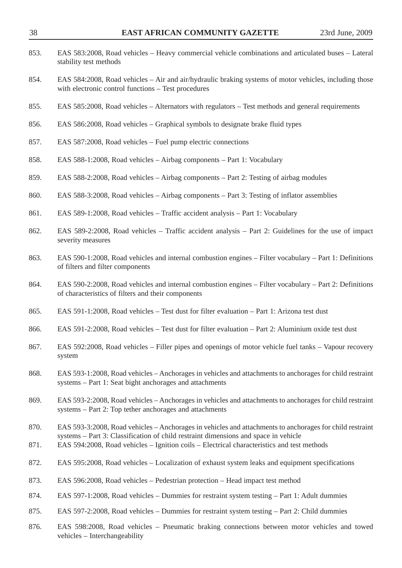| 853. | EAS 583:2008, Road vehicles – Heavy commercial vehicle combinations and articulated buses – Lateral<br>stability test methods                                                     |
|------|-----------------------------------------------------------------------------------------------------------------------------------------------------------------------------------|
| 854. | EAS 584:2008, Road vehicles – Air and air/hydraulic braking systems of motor vehicles, including those<br>with electronic control functions - Test procedures                     |
| 855. | EAS 585:2008, Road vehicles – Alternators with regulators – Test methods and general requirements                                                                                 |
| 856. | EAS 586:2008, Road vehicles – Graphical symbols to designate brake fluid types                                                                                                    |
| 857. | EAS 587:2008, Road vehicles – Fuel pump electric connections                                                                                                                      |
| 858. | EAS 588-1:2008, Road vehicles – Airbag components – Part 1: Vocabulary                                                                                                            |
| 859. | EAS 588-2:2008, Road vehicles – Airbag components – Part 2: Testing of airbag modules                                                                                             |
| 860. | EAS 588-3:2008, Road vehicles – Airbag components – Part 3: Testing of inflator assemblies                                                                                        |
| 861. | EAS 589-1:2008, Road vehicles – Traffic accident analysis – Part 1: Vocabulary                                                                                                    |
| 862. | EAS 589-2:2008, Road vehicles – Traffic accident analysis – Part 2: Guidelines for the use of impact<br>severity measures                                                         |
| 863. | EAS 590-1:2008, Road vehicles and internal combustion engines – Filter vocabulary – Part 1: Definitions<br>of filters and filter components                                       |
| 864. | EAS 590-2:2008, Road vehicles and internal combustion engines - Filter vocabulary - Part 2: Definitions<br>of characteristics of filters and their components                     |
| 865. | EAS 591-1:2008, Road vehicles – Test dust for filter evaluation – Part 1: Arizona test dust                                                                                       |
| 866. | EAS 591-2:2008, Road vehicles – Test dust for filter evaluation – Part 2: Aluminium oxide test dust                                                                               |
| 867. | EAS 592:2008, Road vehicles – Filler pipes and openings of motor vehicle fuel tanks – Vapour recovery<br>system                                                                   |
| 868. | EAS 593-1:2008, Road vehicles – Anchorages in vehicles and attachments to anchorages for child restraint<br>systems - Part 1: Seat bight anchorages and attachments               |
| 869. | EAS 593-2:2008, Road vehicles – Anchorages in vehicles and attachments to anchorages for child restraint<br>systems – Part 2: Top tether anchorages and attachments               |
| 870. | EAS 593-3:2008, Road vehicles – Anchorages in vehicles and attachments to anchorages for child restraint                                                                          |
| 871. | systems – Part 3: Classification of child restraint dimensions and space in vehicle<br>EAS 594:2008, Road vehicles - Ignition coils - Electrical characteristics and test methods |
| 872. | EAS 595:2008, Road vehicles – Localization of exhaust system leaks and equipment specifications                                                                                   |
| 873. | EAS 596:2008, Road vehicles – Pedestrian protection – Head impact test method                                                                                                     |
| 874. | EAS 597-1:2008, Road vehicles - Dummies for restraint system testing - Part 1: Adult dummies                                                                                      |
| 875. | EAS 597-2:2008, Road vehicles – Dummies for restraint system testing – Part 2: Child dummies                                                                                      |
| 876. | EAS 598:2008, Road vehicles – Pneumatic braking connections between motor vehicles and towed<br>vehicles - Interchangeability                                                     |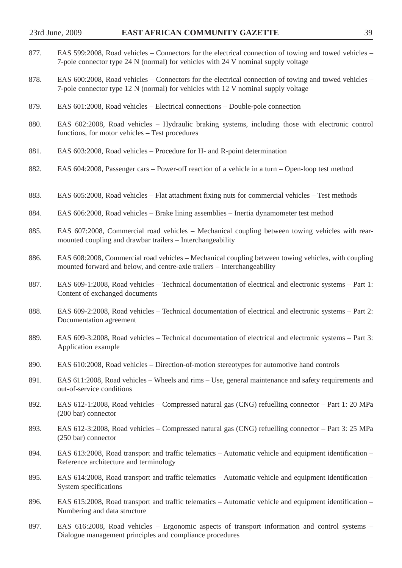- 877. EAS 599:2008, Road vehicles Connectors for the electrical connection of towing and towed vehicles 7-pole connector type 24 N (normal) for vehicles with 24 V nominal supply voltage
- 878. EAS 600:2008, Road vehicles Connectors for the electrical connection of towing and towed vehicles 7-pole connector type 12 N (normal) for vehicles with 12 V nominal supply voltage
- 879. EAS 601:2008, Road vehicles Electrical connections Double-pole connection
- 880. EAS 602:2008, Road vehicles Hydraulic braking systems, including those with electronic control functions, for motor vehicles – Test procedures
- 881. EAS 603:2008, Road vehicles Procedure for H- and R-point determination
- 882. EAS 604:2008, Passenger cars Power-off reaction of a vehicle in a turn Open-loop test method
- 883. EAS 605:2008, Road vehicles Flat attachment fixing nuts for commercial vehicles Test methods
- 884. EAS 606:2008, Road vehicles Brake lining assemblies Inertia dynamometer test method
- 885. EAS 607:2008, Commercial road vehicles Mechanical coupling between towing vehicles with rearmounted coupling and drawbar trailers – Interchangeability
- 886. EAS 608:2008, Commercial road vehicles Mechanical coupling between towing vehicles, with coupling mounted forward and below, and centre-axle trailers – Interchangeability
- 887. EAS 609-1:2008, Road vehicles Technical documentation of electrical and electronic systems Part 1: Content of exchanged documents
- 888. EAS 609-2:2008, Road vehicles Technical documentation of electrical and electronic systems Part 2: Documentation agreement
- 889. EAS 609-3:2008, Road vehicles Technical documentation of electrical and electronic systems Part 3: Application example
- 890. EAS 610:2008, Road vehicles Direction-of-motion stereotypes for automotive hand controls
- 891. EAS 611:2008, Road vehicles Wheels and rims Use, general maintenance and safety requirements and out-of-service conditions
- 892. EAS 612-1:2008, Road vehicles Compressed natural gas (CNG) refuelling connector Part 1: 20 MPa (200 bar) connector
- 893. EAS 612-3:2008, Road vehicles Compressed natural gas (CNG) refuelling connector Part 3: 25 MPa (250 bar) connector
- 894. EAS 613:2008, Road transport and traffic telematics Automatic vehicle and equipment identification Reference architecture and terminology
- 895. EAS 614:2008, Road transport and traffic telematics Automatic vehicle and equipment identification System specifications
- 896. EAS 615:2008, Road transport and traffic telematics Automatic vehicle and equipment identification Numbering and data structure
- 897. EAS 616:2008, Road vehicles Ergonomic aspects of transport information and control systems Dialogue management principles and compliance procedures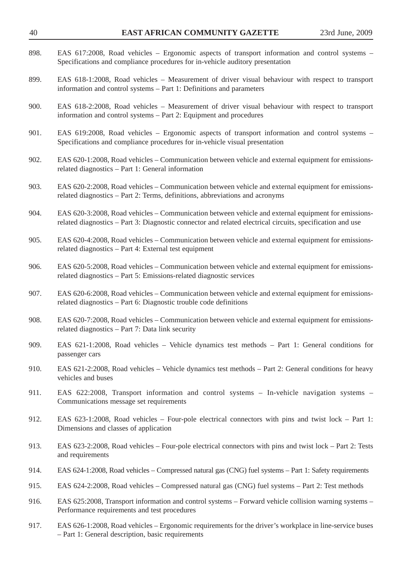| 40   | EAST AFRICAN COMMUNITY GAZETTE                                                                                                                                                                                   | 23rd June, 2009 |
|------|------------------------------------------------------------------------------------------------------------------------------------------------------------------------------------------------------------------|-----------------|
| 898. | EAS 617:2008, Road vehicles – Ergonomic aspects of transport information and control systems –<br>Specifications and compliance procedures for in-vehicle auditory presentation                                  |                 |
| 899. | EAS 618-1:2008, Road vehicles – Measurement of driver visual behaviour with respect to transport<br>information and control systems – Part 1: Definitions and parameters                                         |                 |
| 900. | EAS 618-2:2008, Road vehicles – Measurement of driver visual behaviour with respect to transport<br>information and control systems – Part 2: Equipment and procedures                                           |                 |
| 901. | EAS 619:2008, Road vehicles – Ergonomic aspects of transport information and control systems –<br>Specifications and compliance procedures for in-vehicle visual presentation                                    |                 |
| 902. | EAS 620-1:2008, Road vehicles – Communication between vehicle and external equipment for emissions-<br>related diagnostics - Part 1: General information                                                         |                 |
| 903. | EAS 620-2:2008, Road vehicles – Communication between vehicle and external equipment for emissions-<br>related diagnostics – Part 2: Terms, definitions, abbreviations and acronyms                              |                 |
| 904. | EAS 620-3:2008, Road vehicles – Communication between vehicle and external equipment for emissions-<br>related diagnostics – Part 3: Diagnostic connector and related electrical circuits, specification and use |                 |
| 905. | EAS 620-4:2008, Road vehicles – Communication between vehicle and external equipment for emissions-<br>related diagnostics - Part 4: External test equipment                                                     |                 |
| 906. | EAS 620-5:2008, Road vehicles – Communication between vehicle and external equipment for emissions-<br>related diagnostics - Part 5: Emissions-related diagnostic services                                       |                 |
| 907. | EAS 620-6:2008, Road vehicles – Communication between vehicle and external equipment for emissions-<br>related diagnostics – Part 6: Diagnostic trouble code definitions                                         |                 |
| 908. | EAS 620-7:2008, Road vehicles – Communication between vehicle and external equipment for emissions-<br>related diagnostics – Part 7: Data link security                                                          |                 |
| 909. | EAS 621-1:2008, Road vehicles – Vehicle dynamics test methods – Part 1: General conditions for<br>passenger cars                                                                                                 |                 |
| 910. | EAS 621-2:2008, Road vehicles – Vehicle dynamics test methods – Part 2: General conditions for heavy<br>vehicles and buses                                                                                       |                 |
| 911. | EAS 622:2008, Transport information and control systems - In-vehicle navigation systems -<br>Communications message set requirements                                                                             |                 |
| 912. | EAS 623-1:2008, Road vehicles – Four-pole electrical connectors with pins and twist lock – Part 1:<br>Dimensions and classes of application                                                                      |                 |
| 913. | EAS 623-2:2008, Road vehicles – Four-pole electrical connectors with pins and twist lock – Part 2: Tests<br>and requirements                                                                                     |                 |
| 914. | EAS 624-1:2008, Road vehicles – Compressed natural gas (CNG) fuel systems – Part 1: Safety requirements                                                                                                          |                 |
| 915. | EAS 624-2:2008, Road vehicles – Compressed natural gas (CNG) fuel systems – Part 2: Test methods                                                                                                                 |                 |
| 916. | EAS 625:2008, Transport information and control systems – Forward vehicle collision warning systems –<br>Performance requirements and test procedures                                                            |                 |
| 917. | EAS 626-1:2008, Road vehicles – Ergonomic requirements for the driver's workplace in line-service buses<br>- Part 1: General description, basic requirements                                                     |                 |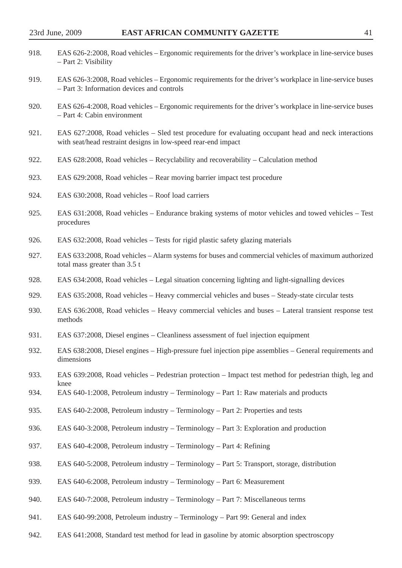| 918. | EAS 626-2:2008, Road vehicles – Ergonomic requirements for the driver's workplace in line-service buses<br>- Part 2: Visibility                                       |
|------|-----------------------------------------------------------------------------------------------------------------------------------------------------------------------|
| 919. | EAS 626-3:2008, Road vehicles – Ergonomic requirements for the driver's workplace in line-service buses<br>- Part 3: Information devices and controls                 |
| 920. | EAS 626-4:2008, Road vehicles – Ergonomic requirements for the driver's workplace in line-service buses<br>- Part 4: Cabin environment                                |
| 921. | EAS 627:2008, Road vehicles – Sled test procedure for evaluating occupant head and neck interactions<br>with seat/head restraint designs in low-speed rear-end impact |
| 922. | EAS 628:2008, Road vehicles – Recyclability and recoverability – Calculation method                                                                                   |
| 923. | EAS 629:2008, Road vehicles – Rear moving barrier impact test procedure                                                                                               |
| 924. | EAS 630:2008, Road vehicles - Roof load carriers                                                                                                                      |
| 925. | EAS 631:2008, Road vehicles – Endurance braking systems of motor vehicles and towed vehicles – Test<br>procedures                                                     |
| 926. | EAS 632:2008, Road vehicles – Tests for rigid plastic safety glazing materials                                                                                        |
| 927. | EAS 633:2008, Road vehicles – Alarm systems for buses and commercial vehicles of maximum authorized<br>total mass greater than 3.5 t                                  |
| 928. | EAS 634:2008, Road vehicles – Legal situation concerning lighting and light-signalling devices                                                                        |
| 929. | EAS 635:2008, Road vehicles – Heavy commercial vehicles and buses – Steady-state circular tests                                                                       |
| 930. | EAS 636:2008, Road vehicles – Heavy commercial vehicles and buses – Lateral transient response test<br>methods                                                        |
| 931. | EAS 637:2008, Diesel engines – Cleanliness assessment of fuel injection equipment                                                                                     |
| 932. | EAS 638:2008, Diesel engines - High-pressure fuel injection pipe assemblies - General requirements and<br>dimensions                                                  |
| 933. | EAS 639:2008, Road vehicles – Pedestrian protection – Impact test method for pedestrian thigh, leg and                                                                |
| 934. | knee<br>EAS 640-1:2008, Petroleum industry – Terminology – Part 1: Raw materials and products                                                                         |
| 935. | EAS 640-2:2008, Petroleum industry - Terminology - Part 2: Properties and tests                                                                                       |
| 936. | EAS 640-3:2008, Petroleum industry – Terminology – Part 3: Exploration and production                                                                                 |
| 937. | EAS 640-4:2008, Petroleum industry - Terminology - Part 4: Refining                                                                                                   |
| 938. | EAS 640-5:2008, Petroleum industry – Terminology – Part 5: Transport, storage, distribution                                                                           |
| 939. | EAS 640-6:2008, Petroleum industry – Terminology – Part 6: Measurement                                                                                                |
| 940. | EAS 640-7:2008, Petroleum industry – Terminology – Part 7: Miscellaneous terms                                                                                        |
|      |                                                                                                                                                                       |

- 941. EAS 640-99:2008, Petroleum industry Terminology Part 99: General and index
- 942. EAS 641:2008, Standard test method for lead in gasoline by atomic absorption spectroscopy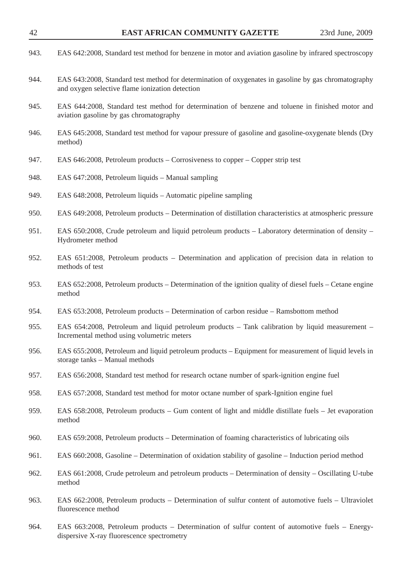| 943. | EAS 642:2008, Standard test method for benzene in motor and aviation gasoline by infrared spectroscopy                                                  |
|------|---------------------------------------------------------------------------------------------------------------------------------------------------------|
| 944. | EAS 643:2008, Standard test method for determination of oxygenates in gasoline by gas chromatography<br>and oxygen selective flame ionization detection |
| 945. | EAS 644:2008, Standard test method for determination of benzene and toluene in finished motor and<br>aviation gasoline by gas chromatography            |
| 946. | EAS 645:2008, Standard test method for vapour pressure of gasoline and gasoline-oxygenate blends (Dry<br>method)                                        |
| 947. | EAS 646:2008, Petroleum products – Corrosiveness to copper – Copper strip test                                                                          |
| 948. | EAS 647:2008, Petroleum liquids - Manual sampling                                                                                                       |
| 949. | EAS 648:2008, Petroleum liquids – Automatic pipeline sampling                                                                                           |
| 950. | EAS 649:2008, Petroleum products – Determination of distillation characteristics at atmospheric pressure                                                |
| 951. | EAS 650:2008, Crude petroleum and liquid petroleum products – Laboratory determination of density –<br>Hydrometer method                                |
| 952. | EAS 651:2008, Petroleum products - Determination and application of precision data in relation to<br>methods of test                                    |
| 953. | EAS 652:2008, Petroleum products – Determination of the ignition quality of diesel fuels – Cetane engine<br>method                                      |
| 954. | EAS 653:2008, Petroleum products – Determination of carbon residue – Ramsbottom method                                                                  |
| 955. | EAS 654:2008, Petroleum and liquid petroleum products – Tank calibration by liquid measurement –<br>Incremental method using volumetric meters          |
| 956. | EAS 655:2008, Petroleum and liquid petroleum products – Equipment for measurement of liquid levels in<br>storage tanks - Manual methods                 |
| 957. | EAS 656:2008, Standard test method for research octane number of spark-ignition engine fuel                                                             |
| 958. | EAS 657:2008, Standard test method for motor octane number of spark-Ignition engine fuel                                                                |
| 959. | EAS 658:2008, Petroleum products – Gum content of light and middle distillate fuels – Jet evaporation<br>method                                         |
| 960. | EAS 659:2008, Petroleum products – Determination of foaming characteristics of lubricating oils                                                         |
| 961. | EAS 660:2008, Gasoline – Determination of oxidation stability of gasoline – Induction period method                                                     |
| 962. | EAS 661:2008, Crude petroleum and petroleum products – Determination of density – Oscillating U-tube<br>method                                          |
| 963. | EAS 662:2008, Petroleum products – Determination of sulfur content of automotive fuels – Ultraviolet<br>fluorescence method                             |
| 964. | EAS 663:2008, Petroleum products - Determination of sulfur content of automotive fuels - Energy-<br>dispersive X-ray fluorescence spectrometry          |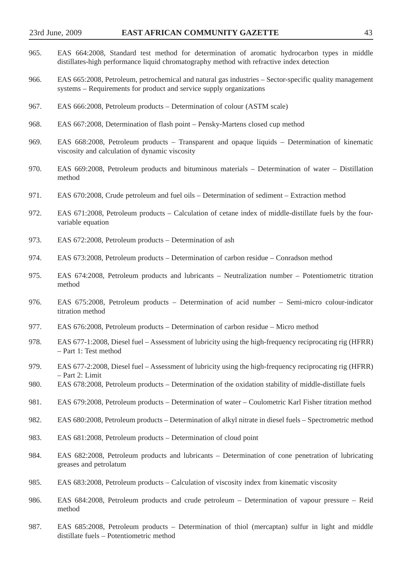| 965. | EAS 664:2008, Standard test method for determination of aromatic hydrocarbon types in middle<br>distillates-high performance liquid chromatography method with refractive index detection |
|------|-------------------------------------------------------------------------------------------------------------------------------------------------------------------------------------------|
| 966. | EAS 665:2008, Petroleum, petrochemical and natural gas industries – Sector-specific quality management<br>systems – Requirements for product and service supply organizations             |
| 967. | EAS 666:2008, Petroleum products – Determination of colour (ASTM scale)                                                                                                                   |
| 968. | EAS 667:2008, Determination of flash point – Pensky-Martens closed cup method                                                                                                             |
| 969. | EAS 668:2008, Petroleum products – Transparent and opaque liquids – Determination of kinematic<br>viscosity and calculation of dynamic viscosity                                          |
| 970. | EAS 669:2008, Petroleum products and bituminous materials – Determination of water – Distillation<br>method                                                                               |
| 971. | EAS 670:2008, Crude petroleum and fuel oils – Determination of sediment – Extraction method                                                                                               |
| 972. | EAS 671:2008, Petroleum products – Calculation of cetane index of middle-distillate fuels by the four-<br>variable equation                                                               |
| 973. | EAS 672:2008, Petroleum products – Determination of ash                                                                                                                                   |
| 974. | EAS 673:2008, Petroleum products – Determination of carbon residue – Conradson method                                                                                                     |
| 975. | EAS 674:2008, Petroleum products and lubricants – Neutralization number – Potentiometric titration<br>method                                                                              |
| 976. | EAS 675:2008, Petroleum products – Determination of acid number – Semi-micro colour-indicator<br>titration method                                                                         |
| 977. | EAS 676:2008, Petroleum products - Determination of carbon residue - Micro method                                                                                                         |
| 978. | EAS 677-1:2008, Diesel fuel – Assessment of lubricity using the high-frequency reciprocating rig (HFRR)<br>- Part 1: Test method                                                          |
| 979. | EAS 677-2:2008, Diesel fuel – Assessment of lubricity using the high-frequency reciprocating rig (HFRR)<br>- Part 2: Limit                                                                |
| 980. | EAS 678:2008, Petroleum products – Determination of the oxidation stability of middle-distillate fuels                                                                                    |
| 981. | EAS 679:2008, Petroleum products - Determination of water - Coulometric Karl Fisher titration method                                                                                      |
| 982. | EAS 680:2008, Petroleum products – Determination of alkyl nitrate in diesel fuels – Spectrometric method                                                                                  |
| 983. | EAS 681:2008, Petroleum products – Determination of cloud point                                                                                                                           |
| 984. | EAS 682:2008, Petroleum products and lubricants – Determination of cone penetration of lubricating<br>greases and petrolatum                                                              |

- 985. EAS 683:2008, Petroleum products Calculation of viscosity index from kinematic viscosity
- 986. EAS 684:2008, Petroleum products and crude petroleum Determination of vapour pressure Reid method
- 987. EAS 685:2008, Petroleum products Determination of thiol (mercaptan) sulfur in light and middle distillate fuels – Potentiometric method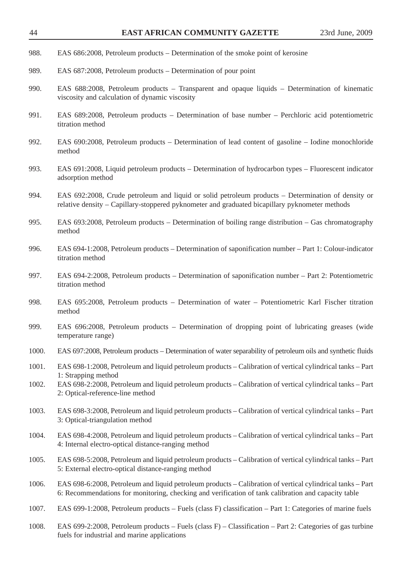- 988. EAS 686:2008, Petroleum products Determination of the smoke point of kerosine
- 989. EAS 687:2008, Petroleum products Determination of pour point
- 990. EAS 688:2008, Petroleum products Transparent and opaque liquids Determination of kinematic viscosity and calculation of dynamic viscosity
- 991. EAS 689:2008, Petroleum products Determination of base number Perchloric acid potentiometric titration method
- 992. EAS 690:2008, Petroleum products Determination of lead content of gasoline Iodine monochloride method
- 993. EAS 691:2008, Liquid petroleum products Determination of hydrocarbon types Fluorescent indicator adsorption method
- 994. EAS 692:2008, Crude petroleum and liquid or solid petroleum products Determination of density or relative density – Capillary-stoppered pyknometer and graduated bicapillary pyknometer methods
- 995. EAS 693:2008, Petroleum products Determination of boiling range distribution Gas chromatography method
- 996. EAS 694-1:2008, Petroleum products Determination of saponification number Part 1: Colour-indicator titration method
- 997. EAS 694-2:2008, Petroleum products Determination of saponification number Part 2: Potentiometric titration method
- 998. EAS 695:2008, Petroleum products Determination of water Potentiometric Karl Fischer titration method
- 999. EAS 696:2008, Petroleum products Determination of dropping point of lubricating greases (wide temperature range)
- 1000. EAS 697:2008, Petroleum products Determination of water separability of petroleum oils and synthetic fluids
- 1001. EAS 698-1:2008, Petroleum and liquid petroleum products Calibration of vertical cylindrical tanks Part 1: Strapping method
- 1002. EAS 698-2:2008, Petroleum and liquid petroleum products Calibration of vertical cylindrical tanks Part 2: Optical-reference-line method
- 1003. EAS 698-3:2008, Petroleum and liquid petroleum products Calibration of vertical cylindrical tanks Part 3: Optical-triangulation method
- 1004. EAS 698-4:2008, Petroleum and liquid petroleum products Calibration of vertical cylindrical tanks Part 4: Internal electro-optical distance-ranging method
- 1005. EAS 698-5:2008, Petroleum and liquid petroleum products Calibration of vertical cylindrical tanks Part 5: External electro-optical distance-ranging method
- 1006. EAS 698-6:2008, Petroleum and liquid petroleum products Calibration of vertical cylindrical tanks Part 6: Recommendations for monitoring, checking and verification of tank calibration and capacity table
- 1007. EAS 699-1:2008, Petroleum products Fuels (class F) classification Part 1: Categories of marine fuels
- 1008. EAS 699-2:2008, Petroleum products Fuels (class F) Classification Part 2: Categories of gas turbine fuels for industrial and marine applications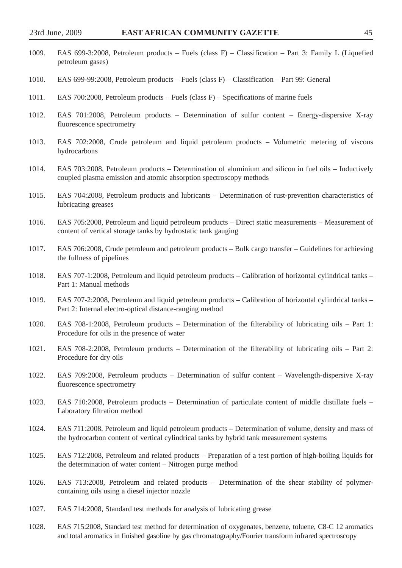- 1009. EAS 699-3:2008, Petroleum products Fuels (class F) Classification Part 3: Family L (Liquefied petroleum gases)
- 1010. EAS 699-99:2008, Petroleum products Fuels (class F) Classification Part 99: General
- 1011. EAS 700:2008, Petroleum products Fuels (class F) Specifications of marine fuels
- 1012. EAS 701:2008, Petroleum products Determination of sulfur content Energy-dispersive X-ray fluorescence spectrometry
- 1013. EAS 702:2008, Crude petroleum and liquid petroleum products Volumetric metering of viscous hydrocarbons
- 1014. EAS 703:2008, Petroleum products Determination of aluminium and silicon in fuel oils Inductively coupled plasma emission and atomic absorption spectroscopy methods
- 1015. EAS 704:2008, Petroleum products and lubricants Determination of rust-prevention characteristics of lubricating greases
- 1016. EAS 705:2008, Petroleum and liquid petroleum products Direct static measurements Measurement of content of vertical storage tanks by hydrostatic tank gauging
- 1017. EAS 706:2008, Crude petroleum and petroleum products Bulk cargo transfer Guidelines for achieving the fullness of pipelines
- 1018. EAS 707-1:2008, Petroleum and liquid petroleum products Calibration of horizontal cylindrical tanks Part 1: Manual methods
- 1019. EAS 707-2:2008, Petroleum and liquid petroleum products Calibration of horizontal cylindrical tanks Part 2: Internal electro-optical distance-ranging method
- 1020. EAS 708-1:2008, Petroleum products Determination of the filterability of lubricating oils Part 1: Procedure for oils in the presence of water
- 1021. EAS 708-2:2008, Petroleum products Determination of the filterability of lubricating oils Part 2: Procedure for dry oils
- 1022. EAS 709:2008, Petroleum products Determination of sulfur content Wavelength-dispersive X-ray fluorescence spectrometry
- 1023. EAS 710:2008, Petroleum products Determination of particulate content of middle distillate fuels Laboratory filtration method
- 1024. EAS 711:2008, Petroleum and liquid petroleum products Determination of volume, density and mass of the hydrocarbon content of vertical cylindrical tanks by hybrid tank measurement systems
- 1025. EAS 712:2008, Petroleum and related products Preparation of a test portion of high-boiling liquids for the determination of water content – Nitrogen purge method
- 1026. EAS 713:2008, Petroleum and related products Determination of the shear stability of polymercontaining oils using a diesel injector nozzle
- 1027. EAS 714:2008, Standard test methods for analysis of lubricating grease
- 1028. EAS 715:2008, Standard test method for determination of oxygenates, benzene, toluene, C8-C 12 aromatics and total aromatics in finished gasoline by gas chromatography/Fourier transform infrared spectroscopy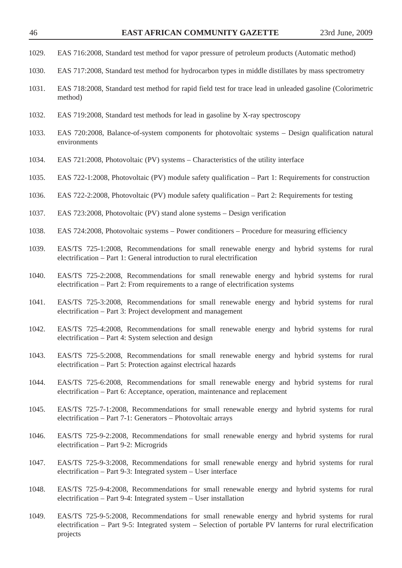- 1029. EAS 716:2008, Standard test method for vapor pressure of petroleum products (Automatic method)
- 1030. EAS 717:2008, Standard test method for hydrocarbon types in middle distillates by mass spectrometry
- 1031. EAS 718:2008, Standard test method for rapid field test for trace lead in unleaded gasoline (Colorimetric method)
- 1032. EAS 719:2008, Standard test methods for lead in gasoline by X-ray spectroscopy
- 1033. EAS 720:2008, Balance-of-system components for photovoltaic systems Design qualification natural environments
- 1034. EAS 721:2008, Photovoltaic (PV) systems Characteristics of the utility interface
- 1035. EAS 722-1:2008, Photovoltaic (PV) module safety qualification Part 1: Requirements for construction
- 1036. EAS 722-2:2008, Photovoltaic (PV) module safety qualification Part 2: Requirements for testing
- 1037. EAS 723:2008, Photovoltaic (PV) stand alone systems Design verification
- 1038. EAS 724:2008, Photovoltaic systems Power conditioners Procedure for measuring efficiency
- 1039. EAS/TS 725-1:2008, Recommendations for small renewable energy and hybrid systems for rural electrification – Part 1: General introduction to rural electrification
- 1040. EAS/TS 725-2:2008, Recommendations for small renewable energy and hybrid systems for rural electrification – Part 2: From requirements to a range of electrification systems
- 1041. EAS/TS 725-3:2008, Recommendations for small renewable energy and hybrid systems for rural electrification – Part 3: Project development and management
- 1042. EAS/TS 725-4:2008, Recommendations for small renewable energy and hybrid systems for rural electrification – Part 4: System selection and design
- 1043. EAS/TS 725-5:2008, Recommendations for small renewable energy and hybrid systems for rural electrification – Part 5: Protection against electrical hazards
- 1044. EAS/TS 725-6:2008, Recommendations for small renewable energy and hybrid systems for rural electrification – Part 6: Acceptance, operation, maintenance and replacement
- 1045. EAS/TS 725-7-1:2008, Recommendations for small renewable energy and hybrid systems for rural electrification – Part 7-1: Generators – Photovoltaic arrays
- 1046. EAS/TS 725-9-2:2008, Recommendations for small renewable energy and hybrid systems for rural electrification – Part 9-2: Microgrids
- 1047. EAS/TS 725-9-3:2008, Recommendations for small renewable energy and hybrid systems for rural electrification – Part 9-3: Integrated system – User interface
- 1048. EAS/TS 725-9-4:2008, Recommendations for small renewable energy and hybrid systems for rural electrification – Part 9-4: Integrated system – User installation
- 1049. EAS/TS 725-9-5:2008, Recommendations for small renewable energy and hybrid systems for rural electrification – Part 9-5: Integrated system – Selection of portable PV lanterns for rural electrification projects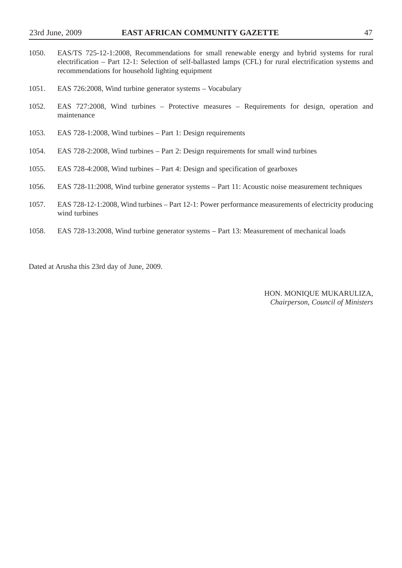- 1050. EAS/TS 725-12-1:2008, Recommendations for small renewable energy and hybrid systems for rural electrification – Part 12-1: Selection of self-ballasted lamps (CFL) for rural electrification systems and recommendations for household lighting equipment
- 1051. EAS 726:2008, Wind turbine generator systems Vocabulary
- 1052. EAS 727:2008, Wind turbines Protective measures Requirements for design, operation and maintenance
- 1053. EAS 728-1:2008, Wind turbines Part 1: Design requirements
- 1054. EAS 728-2:2008, Wind turbines Part 2: Design requirements for small wind turbines
- 1055. EAS 728-4:2008, Wind turbines Part 4: Design and specification of gearboxes
- 1056. EAS 728-11:2008, Wind turbine generator systems Part 11: Acoustic noise measurement techniques
- 1057. EAS 728-12-1:2008, Wind turbines Part 12-1: Power performance measurements of electricity producing wind turbines
- 1058. EAS 728-13:2008, Wind turbine generator systems Part 13: Measurement of mechanical loads

Dated at Arusha this 23rd day of June, 2009.

HON. MONIQUE MUKARULIZA, *Chairperson, Council of Ministers*